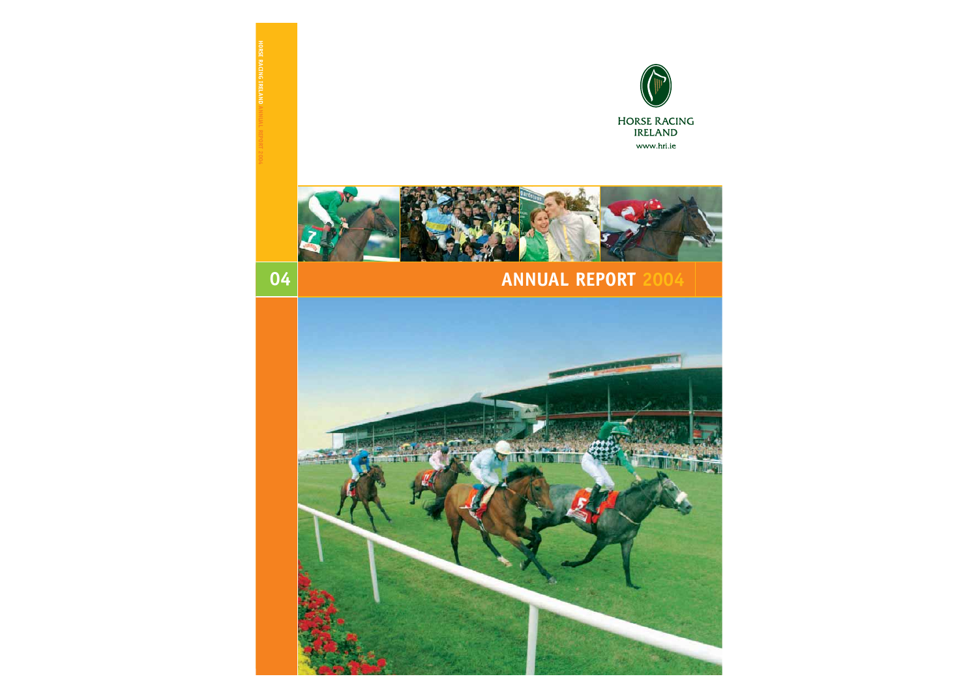



# **ANNUAL REPORT 2004**

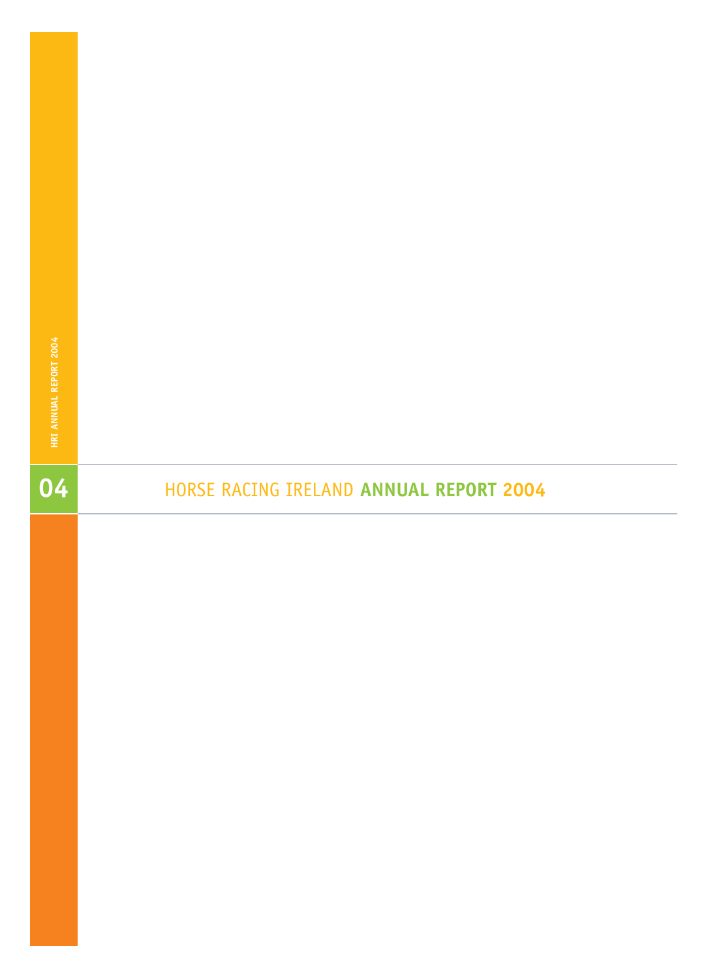# **HORSE RACING IRELAND ANNUAL REPORT 2004**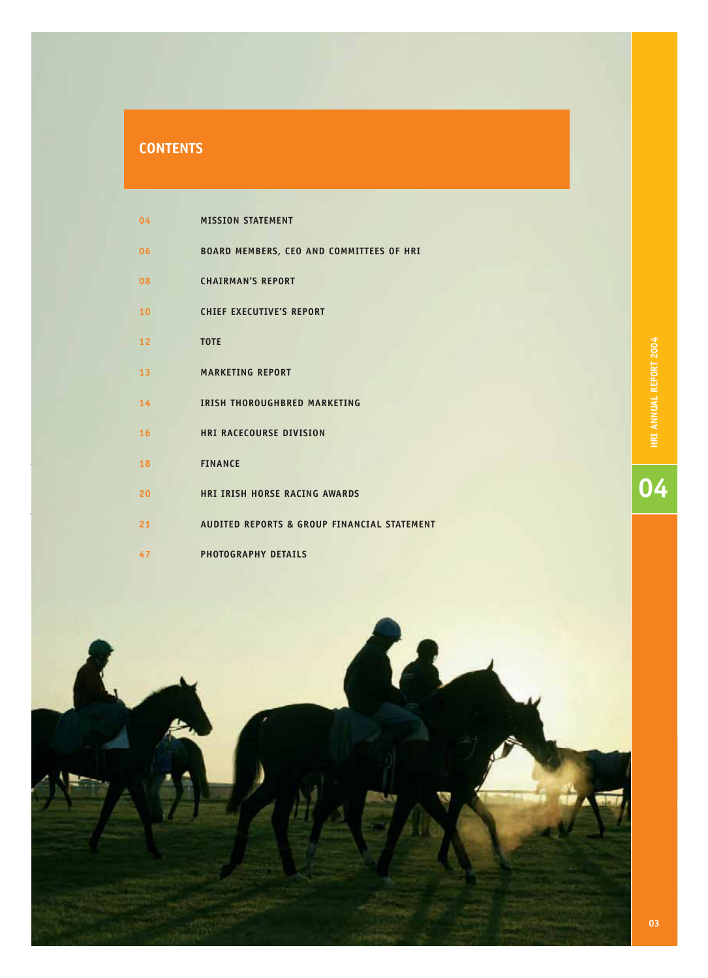| 04 | <b>MISSION STATEMENT</b>                    |
|----|---------------------------------------------|
| 06 | BOARD MEMBERS, CEO AND COMMITTEES OF HRI    |
| 08 | <b>CHAIRMAN'S REPORT</b>                    |
| 10 | <b>CHIEF EXECUTIVE'S REPORT</b>             |
| 12 | <b>TOTE</b>                                 |
| 13 | <b>MARKETING REPORT</b>                     |
| 14 | <b>IRISH THOROUGHBRED MARKETING</b>         |
| 16 | <b>HRI RACECOURSE DIVISION</b>              |
| 18 | <b>FINANCE</b>                              |
| 20 | <b>HRI IRISH HORSE RACING AWARDS</b>        |
| 21 | AUDITED REPORTS & GROUP FINANCIAL STATEMENT |
| 47 | <b>PHOTOGRAPHY DETAILS</b>                  |

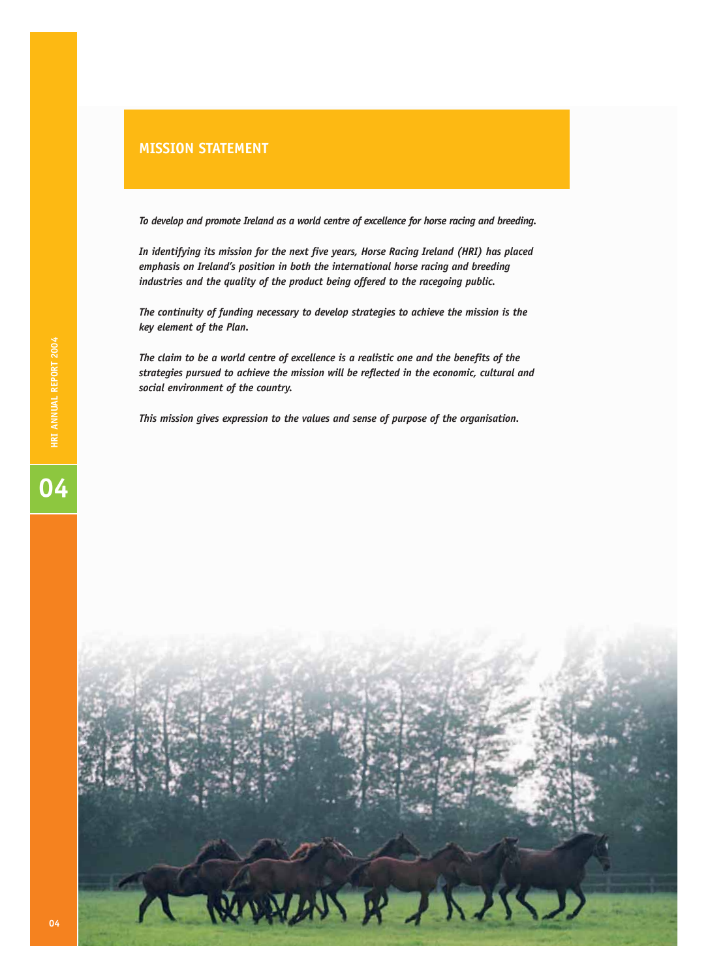*To develop and promote Ireland as a world centre of excellence for horse racing and breeding.*

*In identifying its mission for the next five years, Horse Racing Ireland (HRI) has placed emphasis on Ireland's position in both the international horse racing and breeding industries and the quality of the product being offered to the racegoing public.*

*The continuity of funding necessary to develop strategies to achieve the mission is the key element of the Plan.*

*The claim to be a world centre of excellence is a realistic one and the benefits of the strategies pursued to achieve the mission will be reflected in the economic, cultural and social environment of the country.*

*This mission gives expression to the values and sense of purpose of the organisation.*

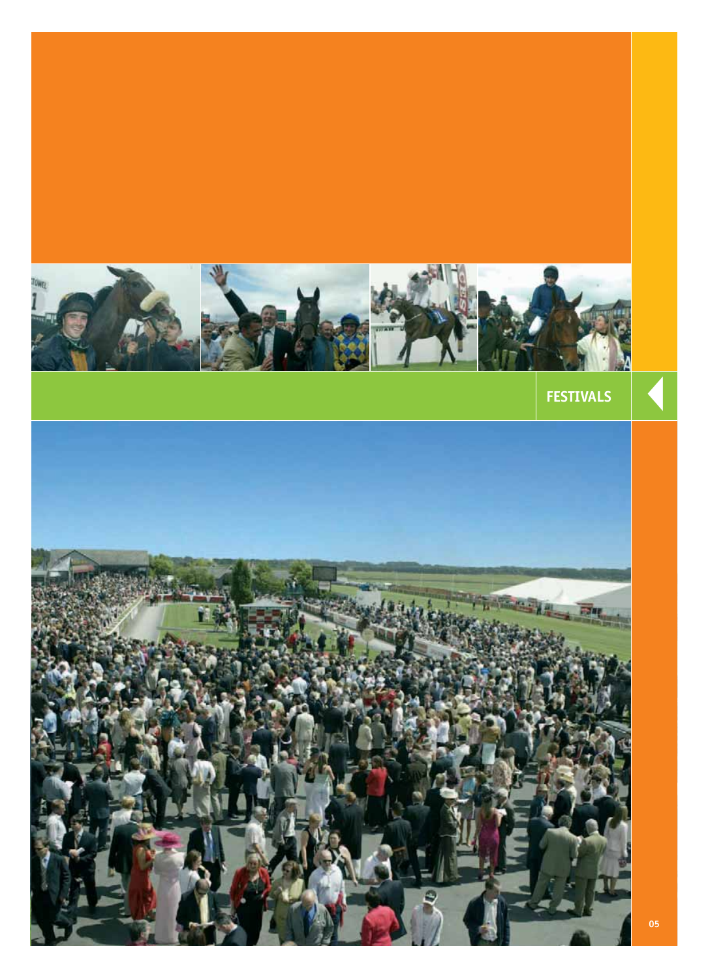

**FESTIVALS** 

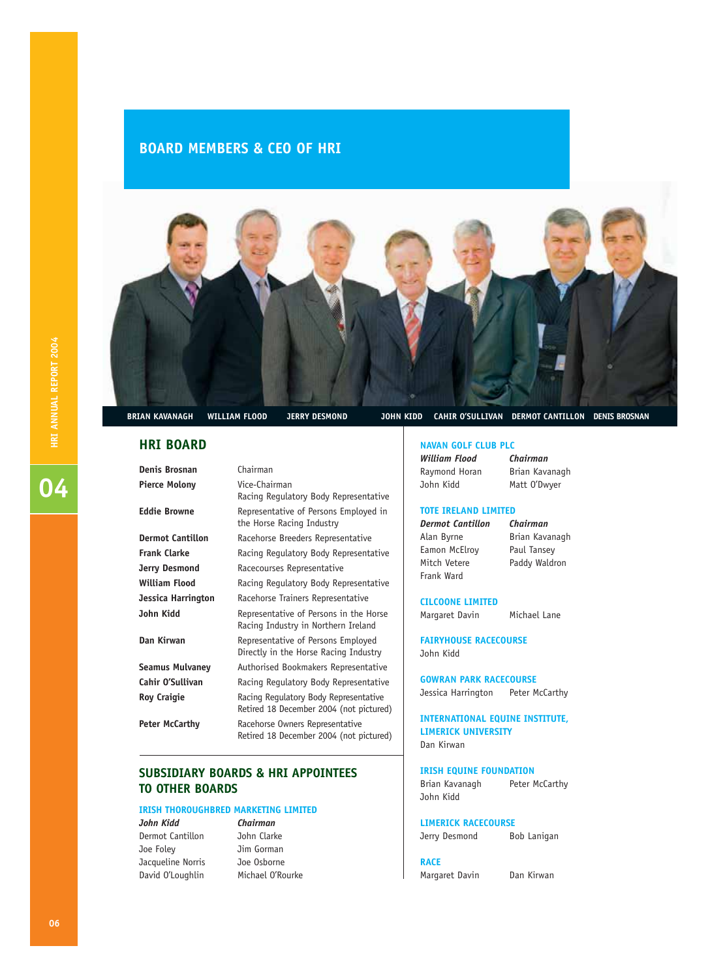### **BOARD MEMBERS & CEO OF HRI**



### **HRI BOARD**

**Denis Brosnan** Chairman

**Pierce Molony** Vice-Chairman Racing Regulatory Body Representative **Eddie Browne** Representative of Persons Employed in the Horse Racing Industry **Dermot Cantillon** Racehorse Breeders Representative **Frank Clarke** Racing Regulatory Body Representative **Jerry Desmond** Racecourses Representative **William Flood** Racing Regulatory Body Representative **Jessica Harrington** Racehorse Trainers Representative **John Kidd** Representative of Persons in the Horse Racing Industry in Northern Ireland **Dan Kirwan** Representative of Persons Employed Directly in the Horse Racing Industry **Seamus Mulvaney** Authorised Bookmakers Representative Cahir O'Sullivan **Racing Regulatory Body Representative Roy Craigie** Racing Regulatory Body Representative Retired 18 December 2004 (not pictured) **Peter McCarthy** Racehorse Owners Representative Retired 18 December 2004 (not pictured)

### **SUBSIDIARY BOARDS & HRI APPOINTEES TO OTHER BOARDS**

### **IRISH THOROUGHBRED MARKETING LIMITED**

*John Kidd Chairman*  Dermot Cantillon John Clarke Joe Foley Jim Gorman Jacqueline Norris Joe Osborne David O'Loughlin Michael O'Rourke

### **BRIAN KAVANAGH WILLIAM FLOOD JERRY DESMOND JOHN KIDD CAHIR O'SULLIVAN DERMOT CANTILLON DENIS BROSNAN**

### **NAVAN GOLF CLUB PLC**

*William Flood Chairman* Raymond Horan Brian Kavanagh John Kidd Matt O'Dwyer

### **TOTE IRELAND LIMITED**

*Dermot Cantillon Chairman* Alan Byrne Brian Kavanagh Eamon McElroy Paul Tansey Mitch Vetere Paddy Waldron Frank Ward

**CILCOONE LIMITED**

Margaret Davin Michael Lane

**FAIRYHOUSE RACECOURSE** John Kidd

**GOWRAN PARK RACECOURSE** Jessica Harrington Peter McCarthy

**INTERNATIONAL EQUINE INSTITUTE, LIMERICK UNIVERSITY** Dan Kirwan

### **IRISH EQUINE FOUNDATION**

Brian Kavanagh Peter McCarthy John Kidd

### **LIMERICK RACECOURSE**

Jerry Desmond Bob Lanigan

### **RACE**

Margaret Davin Dan Kirwan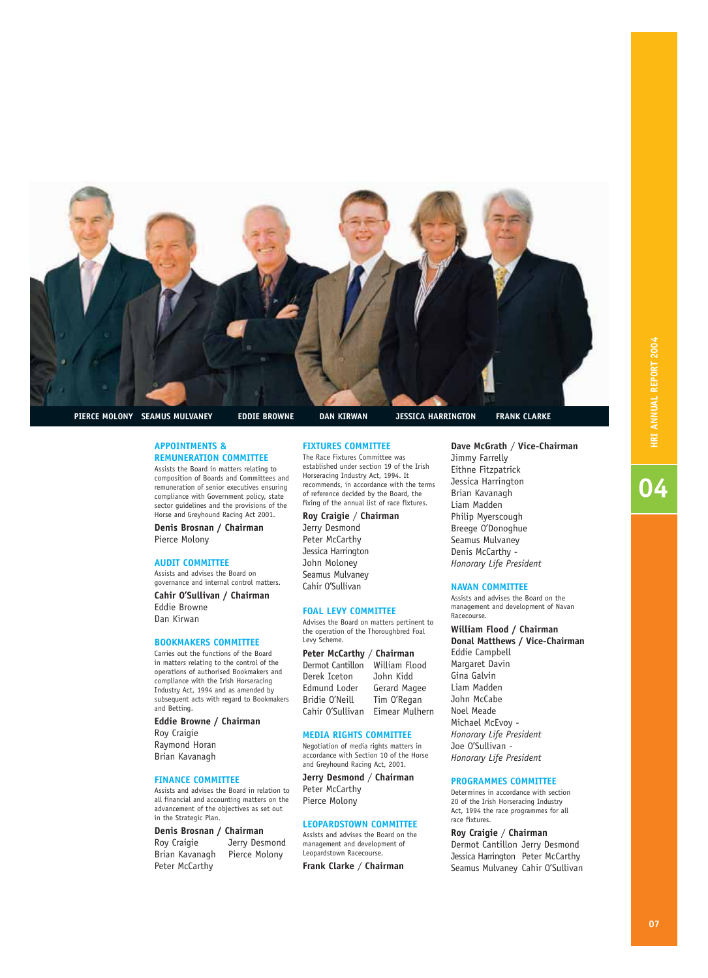

04

**PIERCE MOLONY SEAMUS MULVANEY EDDIE BROWNE DAN KIRWAN JESSICA HARRINGTON FRANK CLARKE**

### **APPOINTMENTS & REMUNERATION COMMITTEE**

Assists the Board in matters relating to composition of Boards and Committees and remuneration of senior executives ensuring compliance with Government policy, state sector quidelines and the provisions of the Horse and Greyhound Racing Act 2001.

**Denis Brosnan / Chairman** Pierce Molony

### **AUDIT COMMITTEE**

Assists and advises the Board on governance and internal control matters.

**Cahir O'Sullivan / Chairman** Eddie Browne Dan Kirwan

### **BOOKMAKERS COMMITTEE**

Carries out the functions of the Board in matters relating to the control of the operations of authorised Bookmakers and compliance with the Irish Horseracing Industry Act, 1994 and as amended by subsequent acts with regard to Bookmakers and Betting.

**Eddie Browne / Chairman** Roy Craigie Raymond Horan Brian Kavanagh

### **FINANCE COMMITTEE**

Assists and advises the Board in relation to all financial and accounting matters on the advancement of the objectives as set out in the Strategic Plan.

**Denis Brosnan / Chairman** Roy Craigie Jerry Desmond Brian Kavanagh Pierce Molony Peter McCarthy

### **FIXTURES COMMITTEE**

The Race Fixtures Committee was established under section 19 of the Irish Horseracing Industry Act, 1994. It recommends, in accordance with the terms of reference decided by the Board, the fixing of the annual list of race fixtures.

**Roy Craigie** / **Chairman** Jerry Desmond

Peter McCarthy Jessica Harrington John Moloney Seamus Mulvaney Cahir O'Sullivan

### **FOAL LEVY COMMITTEE**

Advises the Board on matters pertinent to the operation of the Thoroughbred Foal Levy Scheme.

**Peter McCarthy** / **Chairman** Dermot Cantillon William Flood<br>Derek Iceton John Kidd Derek Iceton Edmund Loder Gerard Magee Bridie O'Neill Tim O'Regan Cahir O'Sullivan Eimear Mulhern

### **MEDIA RIGHTS COMMITTEE**

Negotiation of media rights matters in accordance with Section 10 of the Horse and Greyhound Racing Act, 2001.

**Jerry Desmond** / **Chairman** Peter McCarthy Pierce Molony

### **LEOPARDSTOWN COMMITTEE**

Assists and advises the Board on the management and development of Leopardstown Racecourse.

**Frank Clarke** / **Chairman**

**Dave McGrath** / **Vice-Chairman** Jimmy Farrelly Eithne Fitzpatrick Jessica Harrington Brian Kavanagh Liam Madden Philip Myerscough Breege O'Donoghue Seamus Mulvaney

*Honorary Life President*

### **NAVAN COMMITTEE**

Denis McCarthy -

Assists and advises the Board on the management and development of Navan Racecourse.

### **William Flood / Chairman**

**Donal Matthews / Vice-Chairman** Eddie Campbell Margaret Davin Gina Galvin Liam Madden John McCabe Noel Meade Michael McEvoy - *Honorary Life President* Joe O'Sullivan - *Honorary Life President* 

### **PROGRAMMES COMMITTEE**

Determines in accordance with section 20 of the Irish Horseracing Industry Act, 1994 the race programmes for all race fixtures.

**Roy Craigie** / **Chairman** Dermot Cantillon Jerry Desmond Jessica Harrington Peter McCarthy Seamus Mulvaney Cahir O'Sullivan

### **07**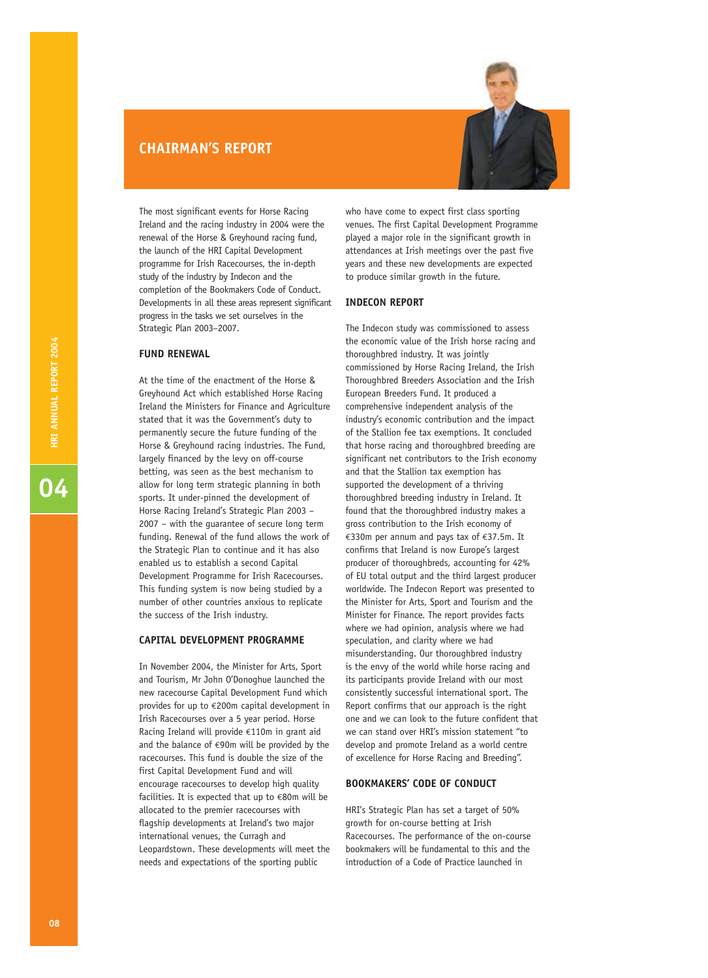### **CHAIRMAN'S REPORT**



The most significant events for Horse Racing Ireland and the racing industry in 2004 were the renewal of the Horse & Greyhound racing fund, the launch of the HRI Capital Development programme for Irish Racecourses, the in-depth study of the industry by Indecon and the completion of the Bookmakers Code of Conduct. Developments in all these areas represent significant progress in the tasks we set ourselves in the Strategic Plan 2003–2007.

### **FUND RENEWAL**

At the time of the enactment of the Horse & Greyhound Act which established Horse Racing Ireland the Ministers for Finance and Agriculture stated that it was the Government's duty to permanently secure the future funding of the Horse & Greyhound racing industries. The Fund, largely financed by the levy on off-course betting, was seen as the best mechanism to allow for long term strategic planning in both sports. It under-pinned the development of Horse Racing Ireland's Strategic Plan 2003 – 2007 – with the guarantee of secure long term funding. Renewal of the fund allows the work of the Strategic Plan to continue and it has also enabled us to establish a second Capital Development Programme for Irish Racecourses. This funding system is now being studied by a number of other countries anxious to replicate the success of the Irish industry.

### **CAPITAL DEVELOPMENT PROGRAMME**

In November 2004, the Minister for Arts, Sport and Tourism, Mr John O'Donoghue launched the new racecourse Capital Development Fund which provides for up to €200m capital development in Irish Racecourses over a 5 year period. Horse Racing Ireland will provide €110m in grant aid and the balance of  $\epsilon$ 90m will be provided by the racecourses. This fund is double the size of the first Capital Development Fund and will encourage racecourses to develop high quality facilities. It is expected that up to  $\epsilon$ 80m will be allocated to the premier racecourses with flagship developments at Ireland's two major international venues, the Curragh and Leopardstown. These developments will meet the needs and expectations of the sporting public

who have come to expect first class sporting venues. The first Capital Development Programme played a major role in the significant growth in attendances at Irish meetings over the past five years and these new developments are expected to produce similar growth in the future.

### **INDECON REPORT**

The Indecon study was commissioned to assess the economic value of the Irish horse racing and thoroughbred industry. It was jointly commissioned by Horse Racing Ireland, the Irish Thoroughbred Breeders Association and the Irish European Breeders Fund. It produced a comprehensive independent analysis of the industry's economic contribution and the impact of the Stallion fee tax exemptions. It concluded that horse racing and thoroughbred breeding are significant net contributors to the Irish economy and that the Stallion tax exemption has supported the development of a thriving thoroughbred breeding industry in Ireland. It found that the thoroughbred industry makes a gross contribution to the Irish economy of €330m per annum and pays tax of €37.5m. It confirms that Ireland is now Europe's largest producer of thoroughbreds, accounting for 42% of EU total output and the third largest producer worldwide. The Indecon Report was presented to the Minister for Arts, Sport and Tourism and the Minister for Finance. The report provides facts where we had opinion, analysis where we had speculation, and clarity where we had misunderstanding. Our thoroughbred industry is the envy of the world while horse racing and its participants provide Ireland with our most consistently successful international sport. The Report confirms that our approach is the right one and we can look to the future confident that we can stand over HRI's mission statement "to develop and promote Ireland as a world centre of excellence for Horse Racing and Breeding".

### **BOOKMAKERS' CODE OF CONDUCT**

HRI's Strategic Plan has set a target of 50% growth for on-course betting at Irish Racecourses. The performance of the on-course bookmakers will be fundamental to this and the introduction of a Code of Practice launched in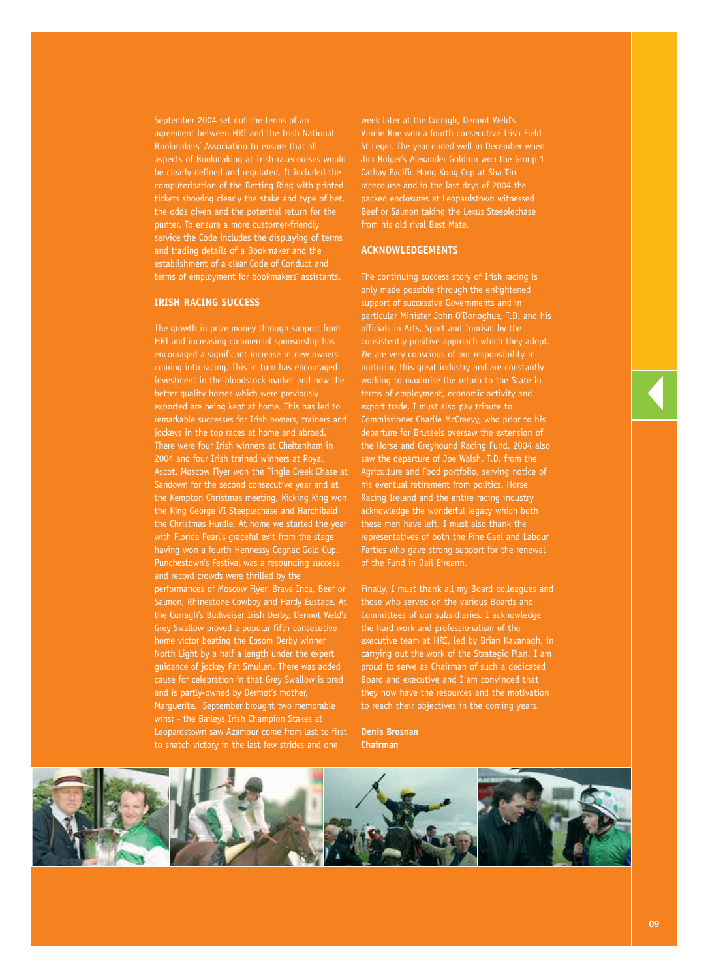September 2004 set out the terms of an agreement between HRI and the Irish National Bookmakers' Association to ensure that all aspects of Bookmaking at Irish racecourses would be clearly defined and regulated. It included the computerisation of the Betting Ring with printed tickets showing clearly the stake and type of bet, the odds given and the potential return for the punter. To ensure a more customer-friendly service the Code includes the displaying of terms and trading details of a Bookmaker and the establishment of a clear Code of Conduct and terms of employment for bookmakers' assistants.

### **IRISH RACING SUCCESS**

The growth in prize money through support from HRI and increasing commercial sponsorship has encouraged a significant increase in new owners coming into racing. This in turn has encouraged investment in the bloodstock market and now the better quality horses which were previously exported are being kept at home. This has led to remarkable successes for Irish owners, trainers and jockeys in the top races at home and abroad. There were four Irish winners at Cheltenham in 2004 and four Irish trained winners at Royal Ascot. Moscow Flyer won the Tingle Creek Chase at Sandown for the second consecutive year and at the Kempton Christmas meeting, Kicking King won the King George VI Steeplechase and Harchibald the Christmas Hurdle. At home we started the year with Florida Pearl's graceful exit from the stage having won a fourth Hennessy Cognac Gold Cup. Punchestown's Festival was a resounding success and record crowds were thrilled by the performances of Moscow Flyer, Brave Inca, Beef or Salmon, Rhinestone Cowboy and Hardy Eustace. At the Curragh's Budweiser Irish Derby, Dermot Weld's Grey Swallow proved a popular fifth consecutive home victor beating the Epsom Derby winner North Light by a half a length under the expert guidance of jockey Pat Smullen. There was added cause for celebration in that Grey Swallow is bred and is partly-owned by Dermot's mother, Marguerite. September brought two memorable wins: - the Baileys Irish Champion Stakes at Leopardstown saw Azamour come from last to first to snatch victory in the last few strides and one

week later at the Curragh, Dermot Weld's Vinnie Roe won a fourth consecutive Irish Field St Leger. The year ended well in December when Jim Bolger's Alexander Goldrun won the Group 1 Cathay Pacific Hong Kong Cup at Sha Tin racecourse and in the last days of 2004 the packed enclosures at Leopardstown witnessed Beef or Salmon taking the Lexus Steeplechase from his old rival Best Mate.

### **ACKNOWLEDGEMENTS**

The continuing success story of Irish racing is only made possible through the enlightened support of successive Governments and in particular Minister John O'Donoghue, T.D. and his officials in Arts, Sport and Tourism by the consistently positive approach which they adopt. We are very conscious of our responsibility in nurturing this great industry and are constantly working to maximise the return to the State in terms of employment, economic activity and export trade. I must also pay tribute to Commissioner Charlie McCreevy, who prior to his departure for Brussels oversaw the extension of the Horse and Greyhound Racing Fund. 2004 also saw the departure of Joe Walsh, T.D. from the Agriculture and Food portfolio, serving notice of his eventual retirement from politics. Horse Racing Ireland and the entire racing industry acknowledge the wonderful legacy which both these men have left. I must also thank the representatives of both the Fine Gael and Labour Parties who gave strong support for the renewal of the Fund in Dail Eireann.

Finally, I must thank all my Board colleagues and those who served on the various Boards and Committees of our subsidiaries. I acknowledge the hard work and professionalism of the executive team at HRI, led by Brian Kavanagh, in carrying out the work of the Strategic Plan. I am proud to serve as Chairman of such a dedicated Board and executive and I am convinced that they now have the resources and the motivation to reach their objectives in the coming years.

**Denis Brosnan Chairman**



▼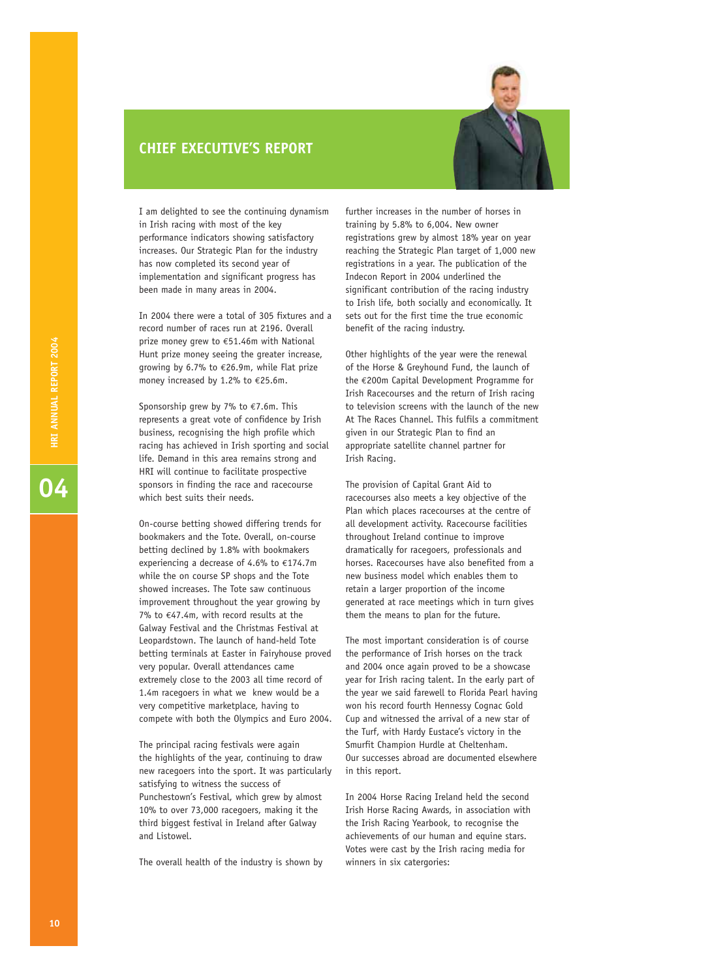### **CHIEF EXECUTIVE'S REPORT**



I am delighted to see the continuing dynamism in Irish racing with most of the key performance indicators showing satisfactory increases. Our Strategic Plan for the industry has now completed its second year of implementation and significant progress has been made in many areas in 2004.

In 2004 there were a total of 305 fixtures and a record number of races run at 2196. Overall prize money grew to €51.46m with National Hunt prize money seeing the greater increase, growing by 6.7% to €26.9m, while Flat prize money increased by 1.2% to €25.6m.

Sponsorship grew by 7% to  $\epsilon$ 7.6m. This represents a great vote of confidence by Irish business, recognising the high profile which racing has achieved in Irish sporting and social life. Demand in this area remains strong and HRI will continue to facilitate prospective sponsors in finding the race and racecourse which best suits their needs.

On-course betting showed differing trends for bookmakers and the Tote. Overall, on-course betting declined by 1.8% with bookmakers experiencing a decrease of 4.6% to €174.7m while the on course SP shops and the Tote showed increases. The Tote saw continuous improvement throughout the year growing by 7% to €47.4m, with record results at the Galway Festival and the Christmas Festival at Leopardstown. The launch of hand-held Tote betting terminals at Easter in Fairyhouse proved very popular. Overall attendances came extremely close to the 2003 all time record of 1.4m racegoers in what we knew would be a very competitive marketplace, having to compete with both the Olympics and Euro 2004.

The principal racing festivals were again the highlights of the year, continuing to draw new racegoers into the sport. It was particularly satisfying to witness the success of Punchestown's Festival, which grew by almost 10% to over 73,000 racegoers, making it the third biggest festival in Ireland after Galway and Listowel.

The overall health of the industry is shown by

further increases in the number of horses in training by 5.8% to 6,004. New owner registrations grew by almost 18% year on year reaching the Strategic Plan target of 1,000 new registrations in a year. The publication of the Indecon Report in 2004 underlined the significant contribution of the racing industry to Irish life, both socially and economically. It sets out for the first time the true economic benefit of the racing industry.

Other highlights of the year were the renewal of the Horse & Greyhound Fund, the launch of the €200m Capital Development Programme for Irish Racecourses and the return of Irish racing to television screens with the launch of the new At The Races Channel. This fulfils a commitment given in our Strategic Plan to find an appropriate satellite channel partner for Irish Racing.

The provision of Capital Grant Aid to racecourses also meets a key objective of the Plan which places racecourses at the centre of all development activity. Racecourse facilities throughout Ireland continue to improve dramatically for racegoers, professionals and horses. Racecourses have also benefited from a new business model which enables them to retain a larger proportion of the income generated at race meetings which in turn gives them the means to plan for the future.

The most important consideration is of course the performance of Irish horses on the track and 2004 once again proved to be a showcase year for Irish racing talent. In the early part of the year we said farewell to Florida Pearl having won his record fourth Hennessy Cognac Gold Cup and witnessed the arrival of a new star of the Turf, with Hardy Eustace's victory in the Smurfit Champion Hurdle at Cheltenham. Our successes abroad are documented elsewhere in this report.

In 2004 Horse Racing Ireland held the second Irish Horse Racing Awards, in association with the Irish Racing Yearbook, to recognise the achievements of our human and equine stars. Votes were cast by the Irish racing media for winners in six catergories: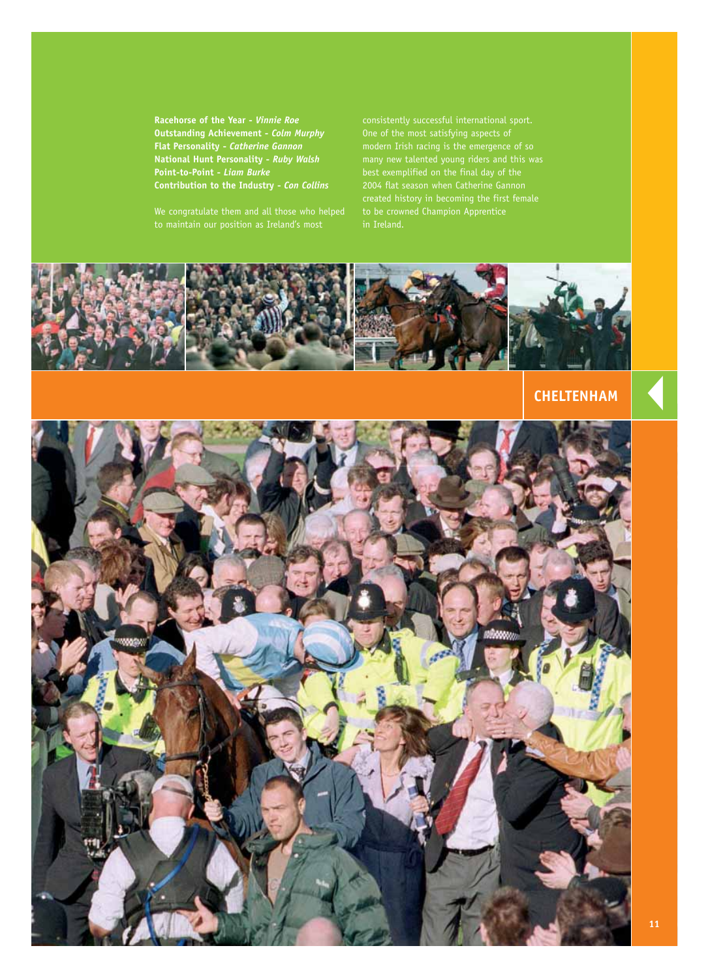**Racehorse of the Year -** *Vinnie Roe* **Outstanding Achievement -** *Colm Murphy* **Flat Personality -** *Catherine Gannon* **National Hunt Personality -** *Ruby Walsh* **Point-to-Point -** *Liam Burke* **Contribution to the Industry -** *Con Collins*

We congratulate them and all those who helped

One of the most satisfying aspects of modern Irish racing is the emergence of so many new talented young riders and this was best exemplified on the final day of the to be crowned Champion Apprentice



## **CHELTENHAM**

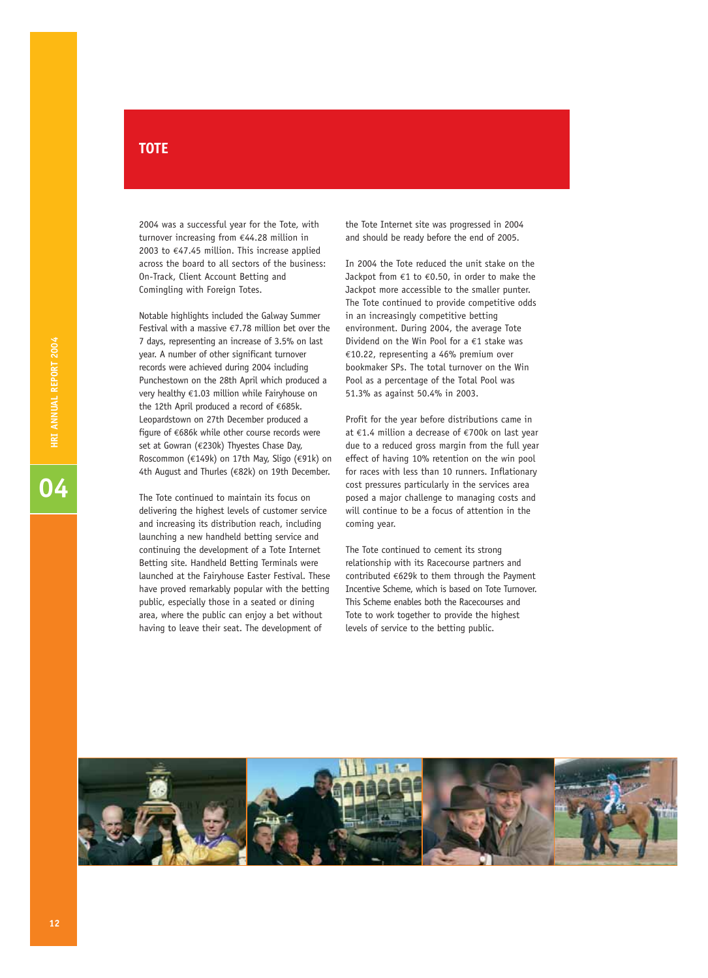# **TOTE**

2004 was a successful year for the Tote, with turnover increasing from €44.28 million in 2003 to €47.45 million. This increase applied across the board to all sectors of the business: On-Track, Client Account Betting and Comingling with Foreign Totes.

Notable highlights included the Galway Summer Festival with a massive  $\epsilon$ 7.78 million bet over the 7 days, representing an increase of 3.5% on last year. A number of other significant turnover records were achieved during 2004 including Punchestown on the 28th April which produced a very healthy €1.03 million while Fairyhouse on the 12th April produced a record of €685k. Leopardstown on 27th December produced a figure of €686k while other course records were set at Gowran (€230k) Thyestes Chase Day, Roscommon (€149k) on 17th May, Sligo (€91k) on 4th August and Thurles (€82k) on 19th December.

The Tote continued to maintain its focus on delivering the highest levels of customer service and increasing its distribution reach, including launching a new handheld betting service and continuing the development of a Tote Internet Betting site. Handheld Betting Terminals were launched at the Fairyhouse Easter Festival. These have proved remarkably popular with the betting public, especially those in a seated or dining area, where the public can enjoy a bet without having to leave their seat. The development of

the Tote Internet site was progressed in 2004 and should be ready before the end of 2005.

In 2004 the Tote reduced the unit stake on the Jackpot from €1 to €0.50, in order to make the Jackpot more accessible to the smaller punter. The Tote continued to provide competitive odds in an increasingly competitive betting environment. During 2004, the average Tote Dividend on the Win Pool for a €1 stake was €10.22, representing a 46% premium over bookmaker SPs. The total turnover on the Win Pool as a percentage of the Total Pool was 51.3% as against 50.4% in 2003.

Profit for the year before distributions came in at €1.4 million a decrease of €700k on last year due to a reduced gross margin from the full year effect of having 10% retention on the win pool for races with less than 10 runners. Inflationary cost pressures particularly in the services area posed a major challenge to managing costs and will continue to be a focus of attention in the coming year.

The Tote continued to cement its strong relationship with its Racecourse partners and contributed €629k to them through the Payment Incentive Scheme, which is based on Tote Turnover. This Scheme enables both the Racecourses and Tote to work together to provide the highest levels of service to the betting public.

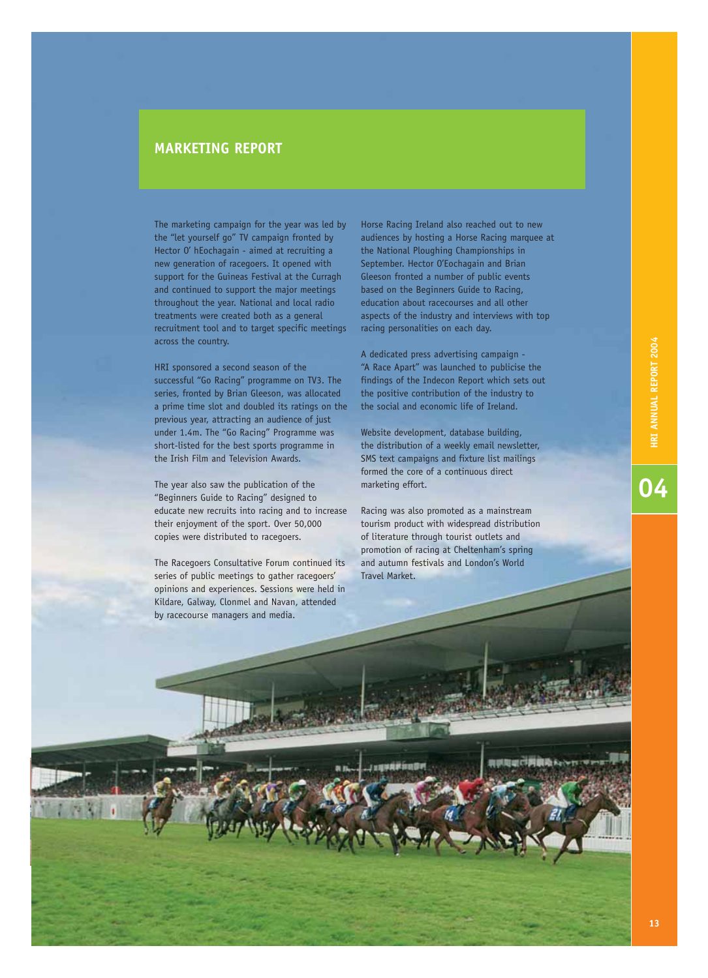# —<br>04

## **MARKETING REPORT**

The marketing campaign for the year was led by the "let yourself go" TV campaign fronted by Hector O' hEochagain - aimed at recruiting a new generation of racegoers. It opened with support for the Guineas Festival at the Curragh and continued to support the major meetings throughout the year. National and local radio treatments were created both as a general recruitment tool and to target specific meetings across the country.

HRI sponsored a second season of the successful "Go Racing" programme on TV3. The series, fronted by Brian Gleeson, was allocated a prime time slot and doubled its ratings on the previous year, attracting an audience of just under 1.4m. The "Go Racing" Programme was short-listed for the best sports programme in the Irish Film and Television Awards.

The year also saw the publication of the "Beginners Guide to Racing" designed to educate new recruits into racing and to increase their enjoyment of the sport. Over 50,000 copies were distributed to racegoers.

The Racegoers Consultative Forum continued its series of public meetings to gather racegoers' opinions and experiences. Sessions were held in Kildare, Galway, Clonmel and Navan, attended by racecourse managers and media.

Horse Racing Ireland also reached out to new audiences by hosting a Horse Racing marquee at the National Ploughing Championships in September. Hector O'Eochagain and Brian Gleeson fronted a number of public events based on the Beginners Guide to Racing, education about racecourses and all other aspects of the industry and interviews with top racing personalities on each day.

A dedicated press advertising campaign - "A Race Apart" was launched to publicise the findings of the Indecon Report which sets out the positive contribution of the industry to the social and economic life of Ireland.

Website development, database building, the distribution of a weekly email newsletter, SMS text campaigns and fixture list mailings formed the core of a continuous direct marketing effort.

Racing was also promoted as a mainstream tourism product with widespread distribution of literature through tourist outlets and promotion of racing at Cheltenham's spring and autumn festivals and London's World Travel Market.

| 明智(m) 已開發者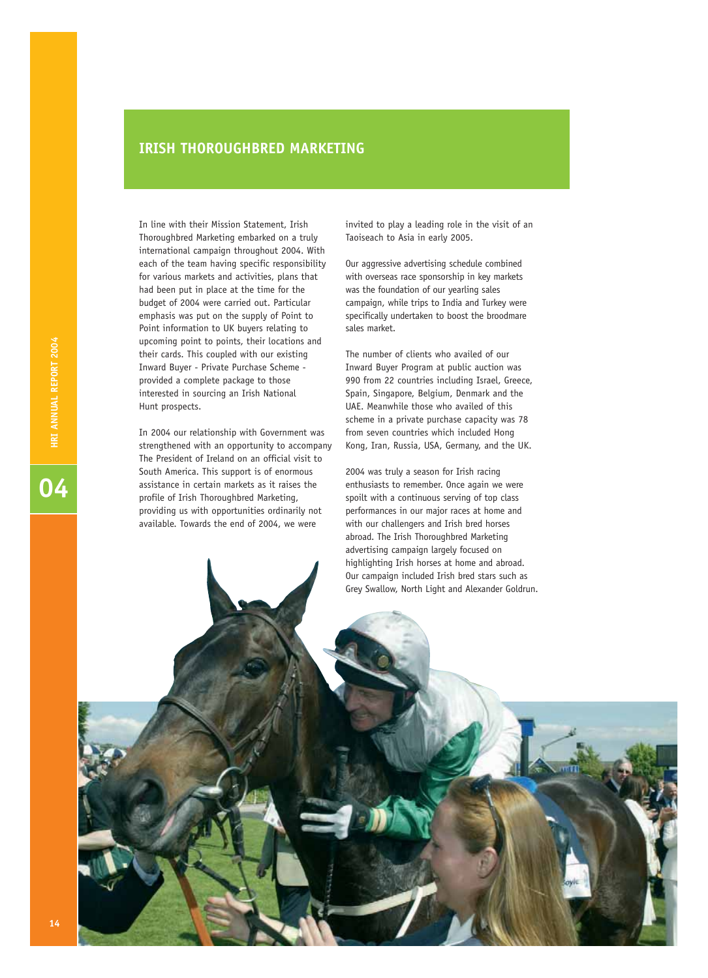### **IRISH THOROUGHBRED MARKETING**

In line with their Mission Statement, Irish Thoroughbred Marketing embarked on a truly international campaign throughout 2004. With each of the team having specific responsibility for various markets and activities, plans that had been put in place at the time for the budget of 2004 were carried out. Particular emphasis was put on the supply of Point to Point information to UK buyers relating to upcoming point to points, their locations and their cards. This coupled with our existing Inward Buyer - Private Purchase Scheme provided a complete package to those interested in sourcing an Irish National Hunt prospects.

In 2004 our relationship with Government was strengthened with an opportunity to accompany The President of Ireland on an official visit to South America. This support is of enormous assistance in certain markets as it raises the profile of Irish Thoroughbred Marketing, providing us with opportunities ordinarily not available. Towards the end of 2004, we were

invited to play a leading role in the visit of an Taoiseach to Asia in early 2005.

Our aggressive advertising schedule combined with overseas race sponsorship in key markets was the foundation of our yearling sales campaign, while trips to India and Turkey were specifically undertaken to boost the broodmare sales market.

The number of clients who availed of our Inward Buyer Program at public auction was 990 from 22 countries including Israel, Greece, Spain, Singapore, Belgium, Denmark and the UAE. Meanwhile those who availed of this scheme in a private purchase capacity was 78 from seven countries which included Hong Kong, Iran, Russia, USA, Germany, and the UK.

2004 was truly a season for Irish racing enthusiasts to remember. Once again we were spoilt with a continuous serving of top class performances in our major races at home and with our challengers and Irish bred horses abroad. The Irish Thoroughbred Marketing advertising campaign largely focused on highlighting Irish horses at home and abroad. Our campaign included Irish bred stars such as Grey Swallow, North Light and Alexander Goldrun.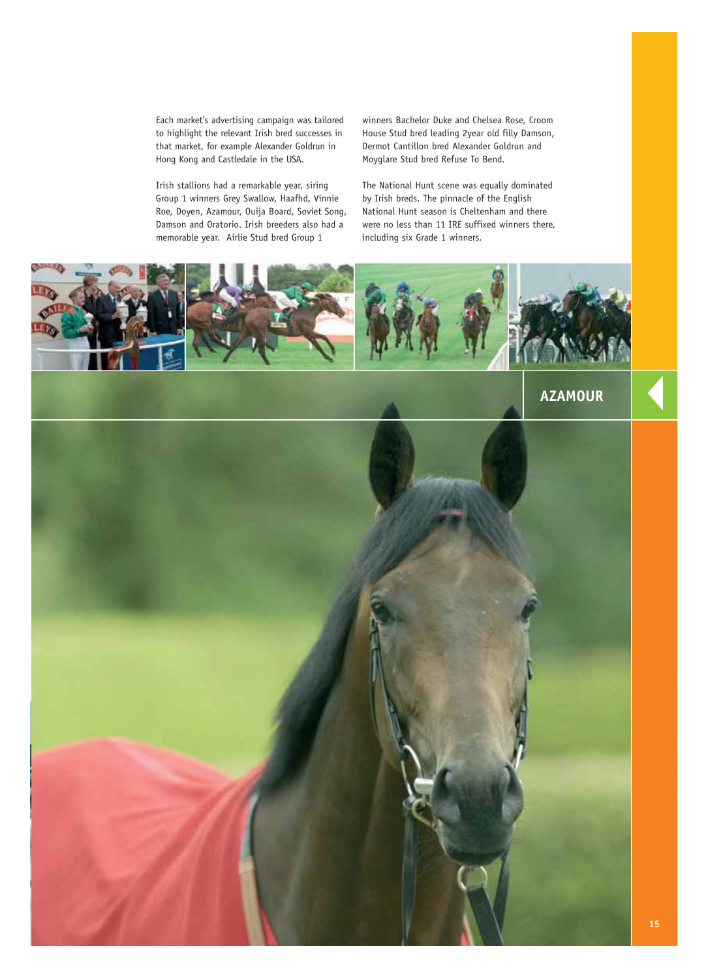Each market's advertising campaign was tailored to highlight the relevant Irish bred successes in that market, for example Alexander Goldrun in Hong Kong and Castledale in the USA.

Irish stallions had a remarkable year, siring Group 1 winners Grey Swallow, Haafhd, Vinnie Roe, Doyen, Azamour, Ouija Board, Soviet Song, Damson and Oratorio. Irish breeders also had a memorable year. Airlie Stud bred Group 1

winners Bachelor Duke and Chelsea Rose, Croom House Stud bred leading 2year old filly Damson, Dermot Cantillon bred Alexander Goldrun and Moyglare Stud bred Refuse To Bend.

The National Hunt scene was equally dominated by Irish breds. The pinnacle of the English National Hunt season is Cheltenham and there were no less than 11 IRE suffixed winners there, including six Grade 1 winners.

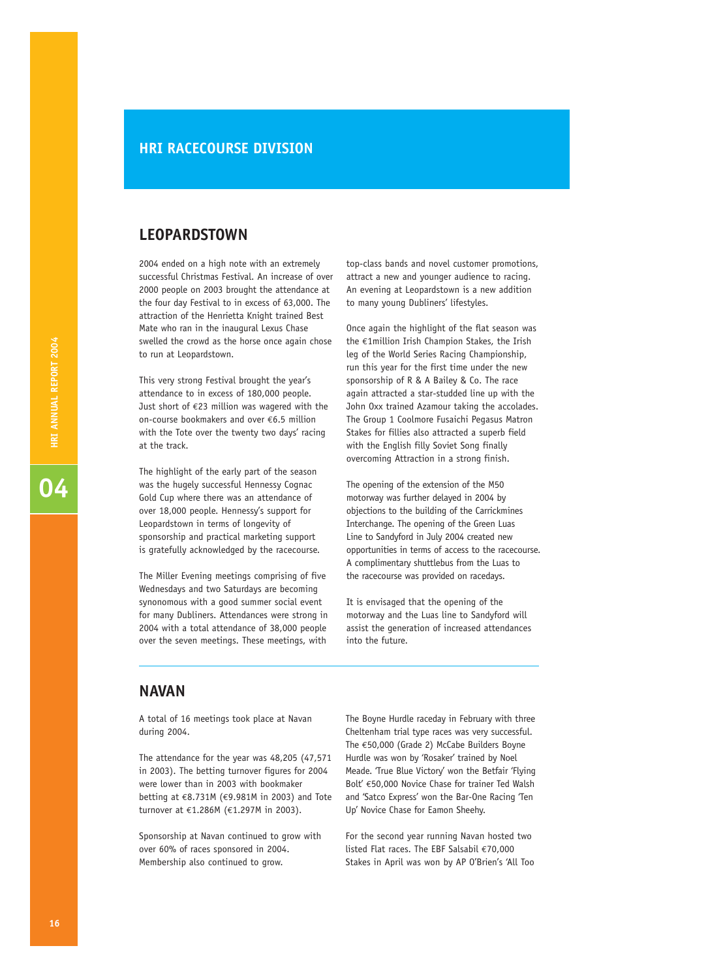### **HRI RACECOURSE DIVISION**

### **LEOPARDSTOWN**

2004 ended on a high note with an extremely successful Christmas Festival. An increase of over 2000 people on 2003 brought the attendance at the four day Festival to in excess of 63,000. The attraction of the Henrietta Knight trained Best Mate who ran in the inaugural Lexus Chase swelled the crowd as the horse once again chose to run at Leopardstown.

This very strong Festival brought the year's attendance to in excess of 180,000 people. Just short of  $E$ 23 million was wagered with the on-course bookmakers and over €6.5 million with the Tote over the twenty two days' racing at the track.

The highlight of the early part of the season was the hugely successful Hennessy Cognac Gold Cup where there was an attendance of over 18,000 people. Hennessy's support for Leopardstown in terms of longevity of sponsorship and practical marketing support is gratefully acknowledged by the racecourse.

The Miller Evening meetings comprising of five Wednesdays and two Saturdays are becoming synonomous with a good summer social event for many Dubliners. Attendances were strong in 2004 with a total attendance of 38,000 people over the seven meetings. These meetings, with

top-class bands and novel customer promotions, attract a new and younger audience to racing. An evening at Leopardstown is a new addition to many young Dubliners' lifestyles.

Once again the highlight of the flat season was the €1million Irish Champion Stakes, the Irish leg of the World Series Racing Championship, run this year for the first time under the new sponsorship of R & A Bailey & Co. The race again attracted a star-studded line up with the John Oxx trained Azamour taking the accolades. The Group 1 Coolmore Fusaichi Pegasus Matron Stakes for fillies also attracted a superb field with the English filly Soviet Song finally overcoming Attraction in a strong finish.

The opening of the extension of the M50 motorway was further delayed in 2004 by objections to the building of the Carrickmines Interchange. The opening of the Green Luas Line to Sandyford in July 2004 created new opportunities in terms of access to the racecourse. A complimentary shuttlebus from the Luas to the racecourse was provided on racedays.

It is envisaged that the opening of the motorway and the Luas line to Sandyford will assist the generation of increased attendances into the future.

### **NAVAN**

A total of 16 meetings took place at Navan during 2004.

The attendance for the year was 48,205 (47,571 in 2003). The betting turnover figures for 2004 were lower than in 2003 with bookmaker betting at €8.731M (€9.981M in 2003) and Tote turnover at €1.286M (€1.297M in 2003).

Sponsorship at Navan continued to grow with over 60% of races sponsored in 2004. Membership also continued to grow.

The Boyne Hurdle raceday in February with three Cheltenham trial type races was very successful. The €50,000 (Grade 2) McCabe Builders Boyne Hurdle was won by 'Rosaker' trained by Noel Meade. 'True Blue Victory' won the Betfair 'Flying Bolt' €50,000 Novice Chase for trainer Ted Walsh and 'Satco Express' won the Bar-One Racing 'Ten Up' Novice Chase for Eamon Sheehy.

For the second year running Navan hosted two listed Flat races. The EBF Salsabil €70,000 Stakes in April was won by AP O'Brien's 'All Too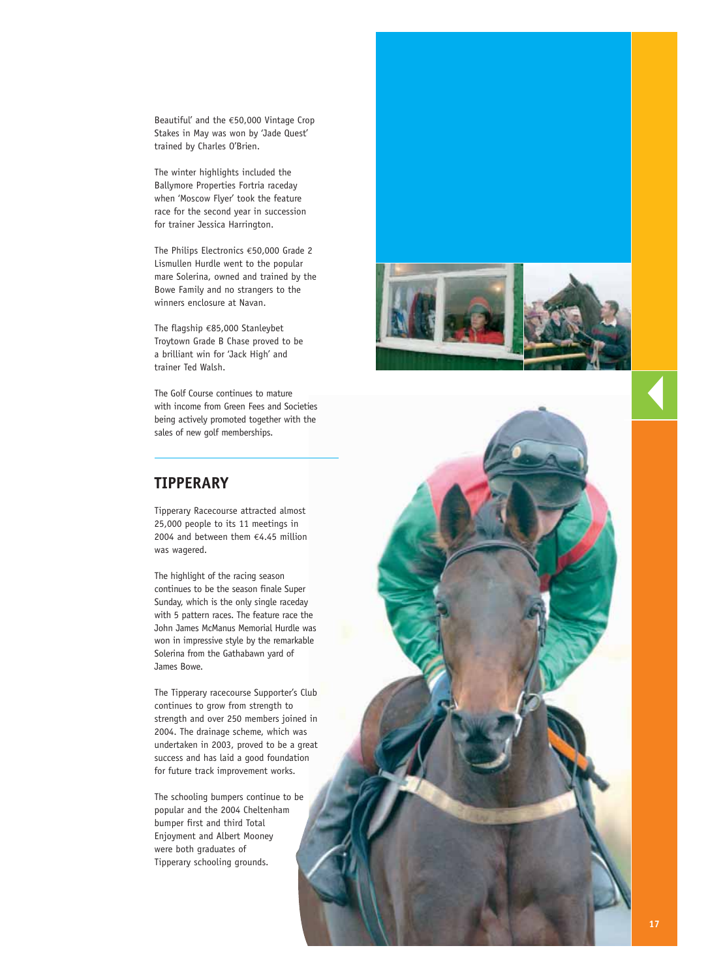Beautiful' and the €50,000 Vintage Crop Stakes in May was won by 'Jade Quest' trained by Charles O'Brien.

The winter highlights included the Ballymore Properties Fortria raceday when 'Moscow Flyer' took the feature race for the second year in succession for trainer Jessica Harrington.

The Philips Electronics €50,000 Grade 2 Lismullen Hurdle went to the popular mare Solerina, owned and trained by the Bowe Family and no strangers to the winners enclosure at Navan.

The flagship €85,000 Stanleybet Troytown Grade B Chase proved to be a brilliant win for 'Jack High' and trainer Ted Walsh.

The Golf Course continues to mature with income from Green Fees and Societies being actively promoted together with the sales of new golf memberships.

# **TIPPERARY**

Tipperary Racecourse attracted almost 25,000 people to its 11 meetings in 2004 and between them €4.45 million was wagered.

The highlight of the racing season continues to be the season finale Super Sunday, which is the only single raceday with 5 pattern races. The feature race the John James McManus Memorial Hurdle was won in impressive style by the remarkable Solerina from the Gathabawn yard of James Bowe.

The Tipperary racecourse Supporter's Club continues to grow from strength to strength and over 250 members joined in 2004. The drainage scheme, which was undertaken in 2003, proved to be a great success and has laid a good foundation for future track improvement works.

The schooling bumpers continue to be popular and the 2004 Cheltenham bumper first and third Total Enjoyment and Albert Mooney were both graduates of Tipperary schooling grounds.



▼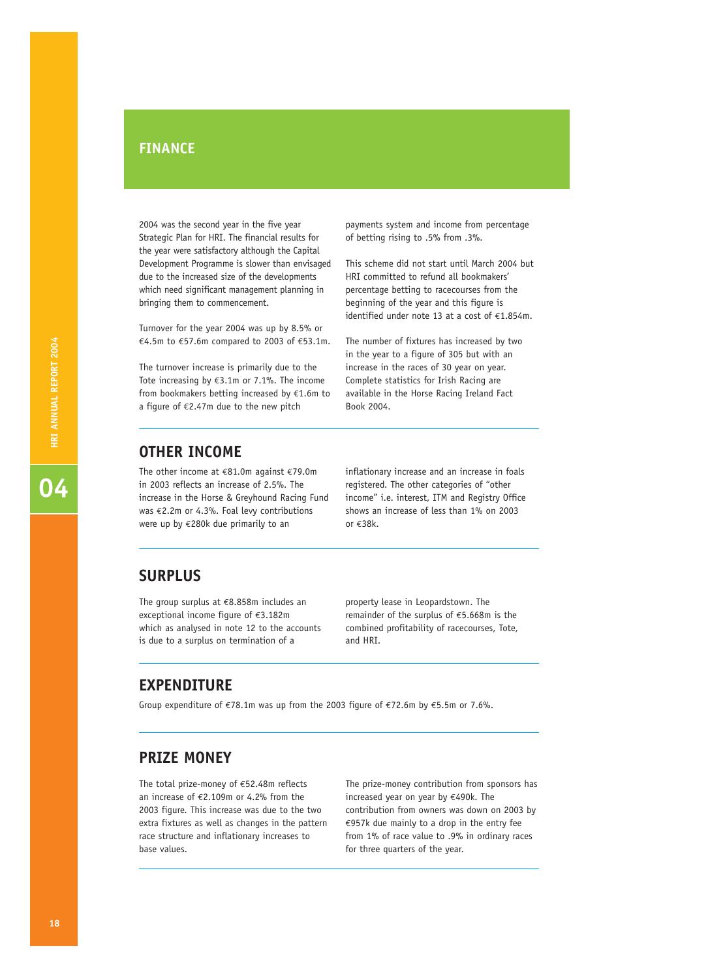# **FINANCE**

2004 was the second year in the five year Strategic Plan for HRI. The financial results for the year were satisfactory although the Capital Development Programme is slower than envisaged due to the increased size of the developments which need significant management planning in bringing them to commencement.

Turnover for the year 2004 was up by 8.5% or €4.5m to €57.6m compared to 2003 of €53.1m.

The turnover increase is primarily due to the Tote increasing by €3.1m or 7.1%. The income from bookmakers betting increased by  $E1.6$ m to a figure of €2.47m due to the new pitch

payments system and income from percentage of betting rising to .5% from .3%.

This scheme did not start until March 2004 but HRI committed to refund all bookmakers' percentage betting to racecourses from the beginning of the year and this figure is identified under note 13 at a cost of €1.854m.

The number of fixtures has increased by two in the year to a figure of 305 but with an increase in the races of 30 year on year. Complete statistics for Irish Racing are available in the Horse Racing Ireland Fact Book 2004.

# **OTHER INCOME**

The other income at €81.0m against €79.0m in 2003 reflects an increase of 2.5%. The increase in the Horse & Greyhound Racing Fund was €2.2m or 4.3%. Foal levy contributions were up by €280k due primarily to an

inflationary increase and an increase in foals registered. The other categories of "other income" i.e. interest, ITM and Registry Office shows an increase of less than 1% on 2003 or €38k.

### **SURPLUS**

The group surplus at €8.858m includes an exceptional income figure of €3.182m which as analysed in note 12 to the accounts is due to a surplus on termination of a

property lease in Leopardstown. The remainder of the surplus of €5.668m is the combined profitability of racecourses, Tote, and HRI.

# **EXPENDITURE**

Group expenditure of €78.1m was up from the 2003 figure of €72.6m by €5.5m or 7.6%.

# **PRIZE MONEY**

The total prize-money of €52.48m reflects an increase of €2.109m or 4.2% from the 2003 figure. This increase was due to the two extra fixtures as well as changes in the pattern race structure and inflationary increases to base values.

The prize-money contribution from sponsors has increased year on year by €490k. The contribution from owners was down on 2003 by €957k due mainly to a drop in the entry fee from 1% of race value to .9% in ordinary races for three quarters of the year.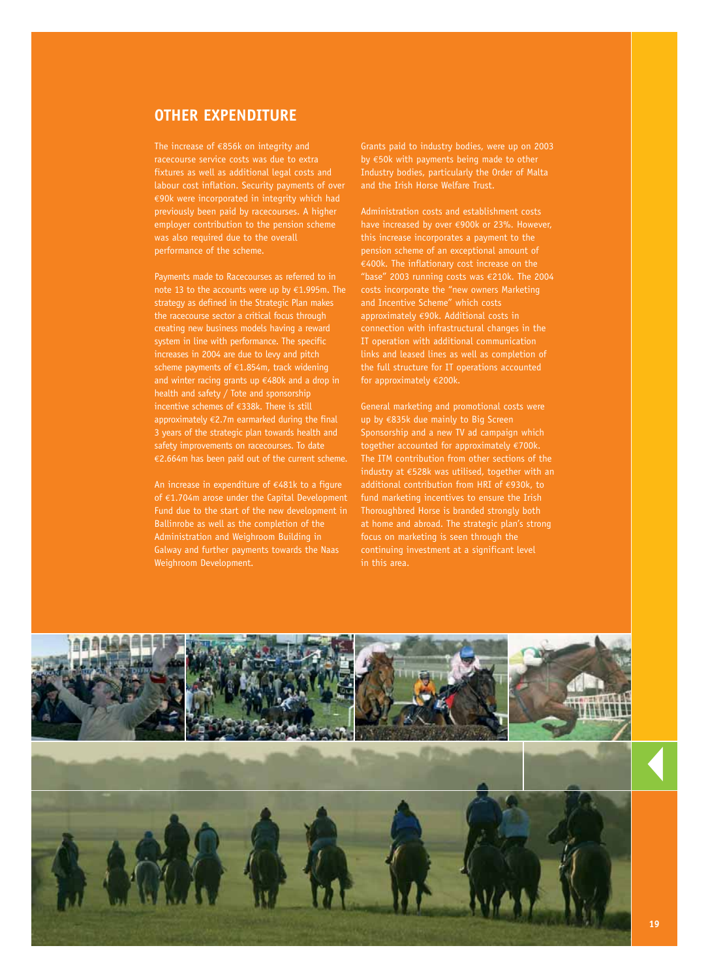# **OTHER EXPENDITURE**

The increase of €856k on integrity and racecourse service costs was due to extra fixtures as well as additional legal costs and labour cost inflation. Security payments of over €90k were incorporated in integrity which had previously been paid by racecourses. A higher employer contribution to the pension scheme was also required due to the overall performance of the scheme.

Payments made to Racecourses as referred to in note 13 to the accounts were up by €1.995m. The strategy as defined in the Strategic Plan makes the racecourse sector a critical focus through creating new business models having a reward system in line with performance. The specific increases in 2004 are due to levy and pitch scheme payments of €1.854m, track widening and winter racing grants up €480k and a drop in health and safety / Tote and sponsorship incentive schemes of €338k. There is still approximately  $\epsilon$ 2.7m earmarked during the final 3 years of the strategic plan towards health and safety improvements on racecourses. To date €2.664m has been paid out of the current scheme.

An increase in expenditure of  $\epsilon$ 481k to a figure of  $\epsilon$ 1.704m arose under the Capital Development Fund due to the start of the new development in Ballinrobe as well as the completion of the Administration and Weighroom Building in Galway and further payments towards the Naas Weighroom Development.

Grants paid to industry bodies, were up on 2003 by €50k with payments being made to other Industry bodies, particularly the Order of Malta and the Irish Horse Welfare Trust.

Administration costs and establishment costs have increased by over €900k or 23%. However, this increase incorporates a payment to the pension scheme of an exceptional amount of €400k. The inflationary cost increase on the "base" 2003 running costs was €210k. The 2004 costs incorporate the "new owners Marketing and Incentive Scheme" which costs approximately €90k. Additional costs in connection with infrastructural changes in the IT operation with additional communication links and leased lines as well as completion of the full structure for IT operations accounted for approximately €200k.

General marketing and promotional costs were up by €835k due mainly to Big Screen Sponsorship and a new TV ad campaign which together accounted for approximately €700k. The ITM contribution from other sections of the industry at €528k was utilised, together with an additional contribution from HRI of €930k, to fund marketing incentives to ensure the Irish Thoroughbred Horse is branded strongly both at home and abroad. The strategic plan's strong focus on marketing is seen through the continuing investment at a significant level in this area.

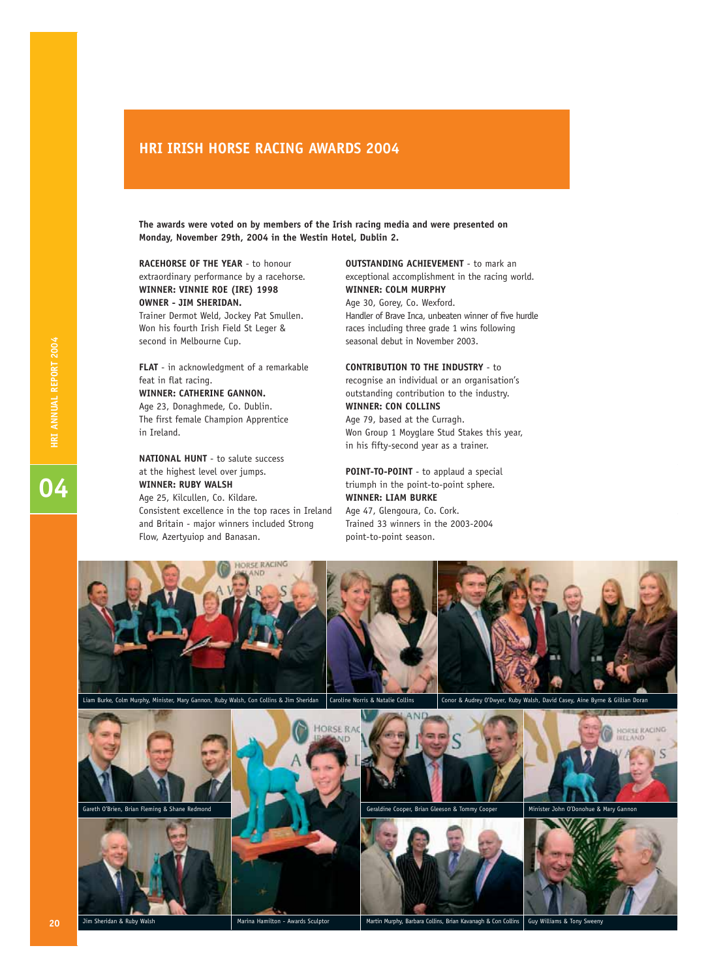### **HRI IRISH HORSE RACING AWARDS 2004**

**The awards were voted on by members of the Irish racing media and were presented on Monday, November 29th, 2004 in the Westin Hotel, Dublin 2.**

**RACEHORSE OF THE YEAR** - to honour extraordinary performance by a racehorse. **WINNER: VINNIE ROE (IRE) 1998 OWNER - JIM SHERIDAN.**

Trainer Dermot Weld, Jockey Pat Smullen. Won his fourth Irish Field St Leger & second in Melbourne Cup.

**FLAT** - in acknowledgment of a remarkable feat in flat racing. **WINNER: CATHERINE GANNON.**

Age 23, Donaghmede, Co. Dublin. The first female Champion Apprentice in Ireland.

**D**<br>**HRI ANNUAL REPORT 2004** 

**O** HRI ANNUAL REPORT 2004

**NATIONAL HUNT** - to salute success at the highest level over jumps. **WINNER: RUBY WALSH** Age 25, Kilcullen, Co. Kildare. Consistent excellence in the top races in Ireland and Britain - major winners included Strong Flow, Azertyuiop and Banasan.

**OUTSTANDING ACHIEVEMENT** - to mark an exceptional accomplishment in the racing world. **WINNER: COLM MURPHY** Age 30, Gorey, Co. Wexford. Handler of Brave Inca, unbeaten winner of five hurdle races including three grade 1 wins following seasonal debut in November 2003.

### **CONTRIBUTION TO THE INDUSTRY** - to

recognise an individual or an organisation's outstanding contribution to the industry. **WINNER: CON COLLINS**

Age 79, based at the Curragh. Won Group 1 Moyglare Stud Stakes this year, in his fifty-second year as a trainer.

**POINT-TO-POINT** - to applaud a special triumph in the point-to-point sphere. **WINNER: LIAM BURKE** Age 47, Glengoura, Co. Cork.

Trained 33 winners in the 2003-2004 point-to-point season.





**20**

Sheridan & Ruby Walsh Marina Hamilton - Awards Sculptor Martin Murphy, Barbara Collins, Brian Kavanagh & Con Collins, Brian Kavanagh & Con Collins, Brian Kavanagh & Con Collins, Brian Kavanagh & Con Collins, Brian Kavanagh Guy Williams & Tony Sweeny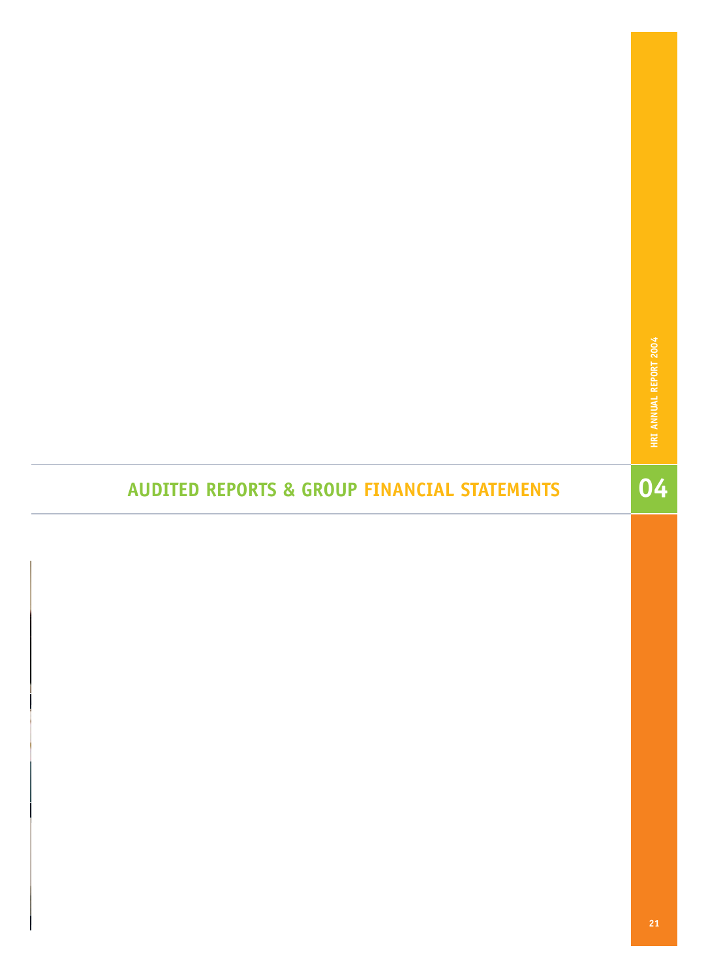$\frac{1}{04}$ 

# **AUDITED REPORTS & GROUP FINANCIAL STATEMENTS**

**21**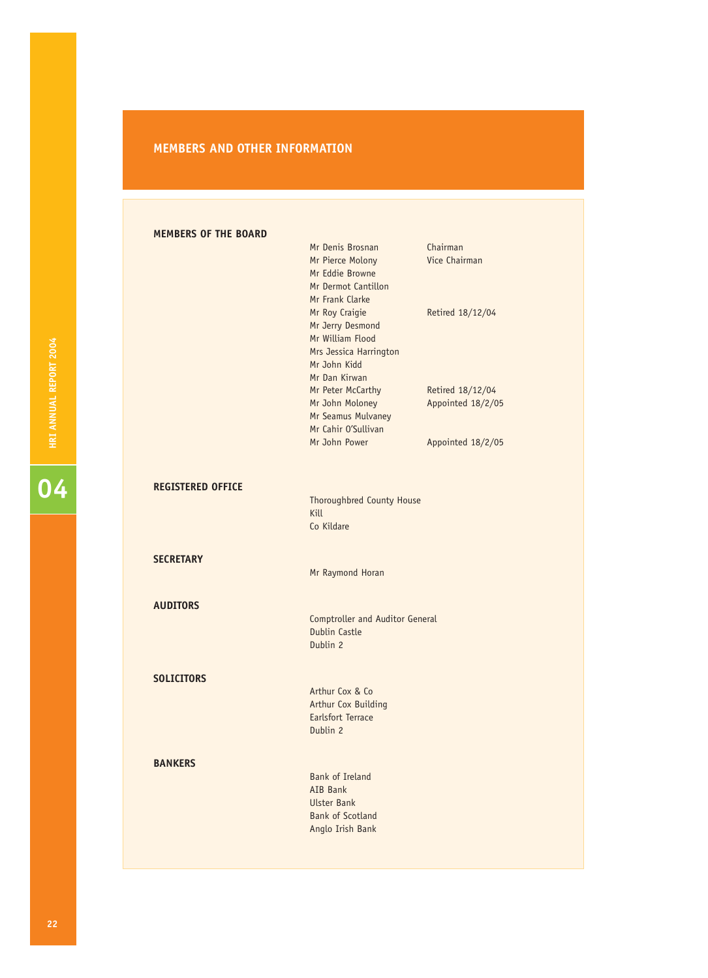### **MEMBERS AND OTHER INFORMATION**

### **MEMBERS OF THE BOARD**

|                          | Mr Denis Brosnan<br>Mr Pierce Molony<br>Mr Eddie Browne<br>Mr Dermot Cantillon<br>Mr Frank Clarke                 | Chairman<br>Vice Chairman             |
|--------------------------|-------------------------------------------------------------------------------------------------------------------|---------------------------------------|
|                          | Mr Roy Craigie<br>Mr Jerry Desmond<br>Mr William Flood<br>Mrs Jessica Harrington<br>Mr John Kidd<br>Mr Dan Kirwan | Retired 18/12/04                      |
|                          | Mr Peter McCarthy<br>Mr John Moloney<br>Mr Seamus Mulvaney<br>Mr Cahir O'Sullivan                                 | Retired 18/12/04<br>Appointed 18/2/05 |
|                          | Mr John Power                                                                                                     | Appointed 18/2/05                     |
| <b>REGISTERED OFFICE</b> | <b>Thoroughbred County House</b><br>Kill                                                                          |                                       |
|                          | Co Kildare                                                                                                        |                                       |
| <b>SECRETARY</b>         | Mr Raymond Horan                                                                                                  |                                       |
| <b>AUDITORS</b>          | <b>Comptroller and Auditor General</b><br><b>Dublin Castle</b><br>Dublin 2                                        |                                       |
| <b>SOLICITORS</b>        | Arthur Cox & Co<br>Arthur Cox Building<br><b>Earlsfort Terrace</b><br>Dublin 2                                    |                                       |
| <b>BANKERS</b>           | <b>Bank of Ireland</b><br>AIB Bank<br><b>Ulster Bank</b><br><b>Bank of Scotland</b>                               |                                       |
|                          | Anglo Irish Bank                                                                                                  |                                       |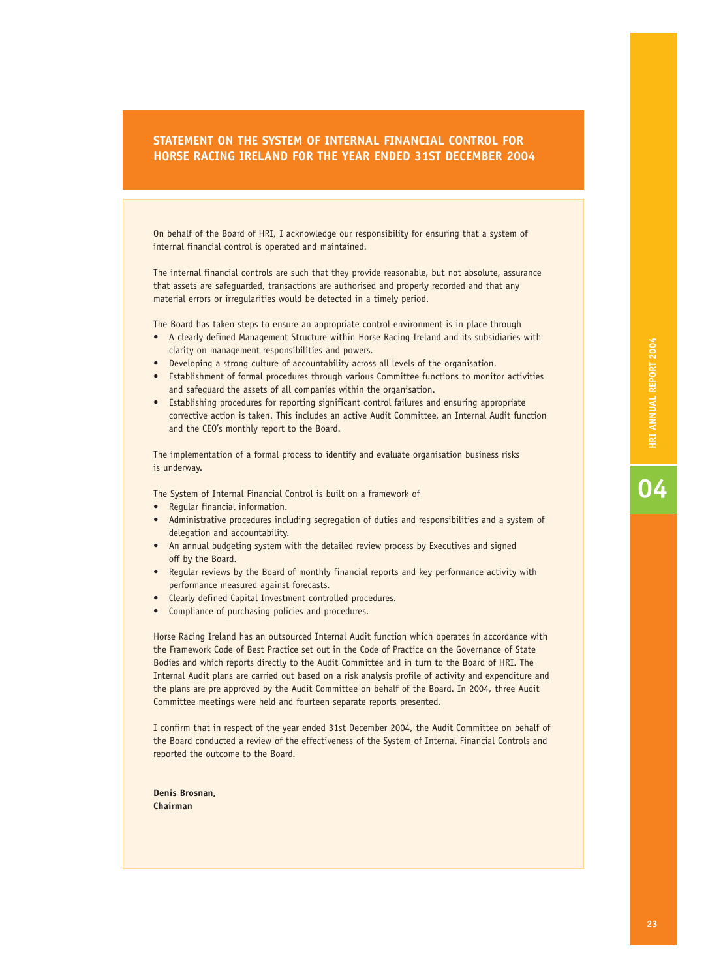### **STATEMENT ON THE SYSTEM OF INTERNAL FINANCIAL CONTROL FOR HORSE RACING IRELAND FOR THE YEAR ENDED 31ST DECEMBER 2004**

On behalf of the Board of HRI, I acknowledge our responsibility for ensuring that a system of internal financial control is operated and maintained.

The internal financial controls are such that they provide reasonable, but not absolute, assurance that assets are safeguarded, transactions are authorised and properly recorded and that any material errors or irregularities would be detected in a timely period.

The Board has taken steps to ensure an appropriate control environment is in place through

- A clearly defined Management Structure within Horse Racing Ireland and its subsidiaries with clarity on management responsibilities and powers.
- Developing a strong culture of accountability across all levels of the organisation.
- Establishment of formal procedures through various Committee functions to monitor activities and safeguard the assets of all companies within the organisation.
- Establishing procedures for reporting significant control failures and ensuring appropriate corrective action is taken. This includes an active Audit Committee, an Internal Audit function and the CEO's monthly report to the Board.

The implementation of a formal process to identify and evaluate organisation business risks is underway.

The System of Internal Financial Control is built on a framework of

- Regular financial information.
- Administrative procedures including segregation of duties and responsibilities and a system of delegation and accountability.
- An annual budgeting system with the detailed review process by Executives and signed off by the Board.
- Regular reviews by the Board of monthly financial reports and key performance activity with performance measured against forecasts.
- Clearly defined Capital Investment controlled procedures.
- Compliance of purchasing policies and procedures.

Horse Racing Ireland has an outsourced Internal Audit function which operates in accordance with the Framework Code of Best Practice set out in the Code of Practice on the Governance of State Bodies and which reports directly to the Audit Committee and in turn to the Board of HRI. The Internal Audit plans are carried out based on a risk analysis profile of activity and expenditure and the plans are pre approved by the Audit Committee on behalf of the Board. In 2004, three Audit Committee meetings were held and fourteen separate reports presented.

I confirm that in respect of the year ended 31st December 2004, the Audit Committee on behalf of the Board conducted a review of the effectiveness of the System of Internal Financial Controls and reported the outcome to the Board.

**Denis Brosnan, Chairman**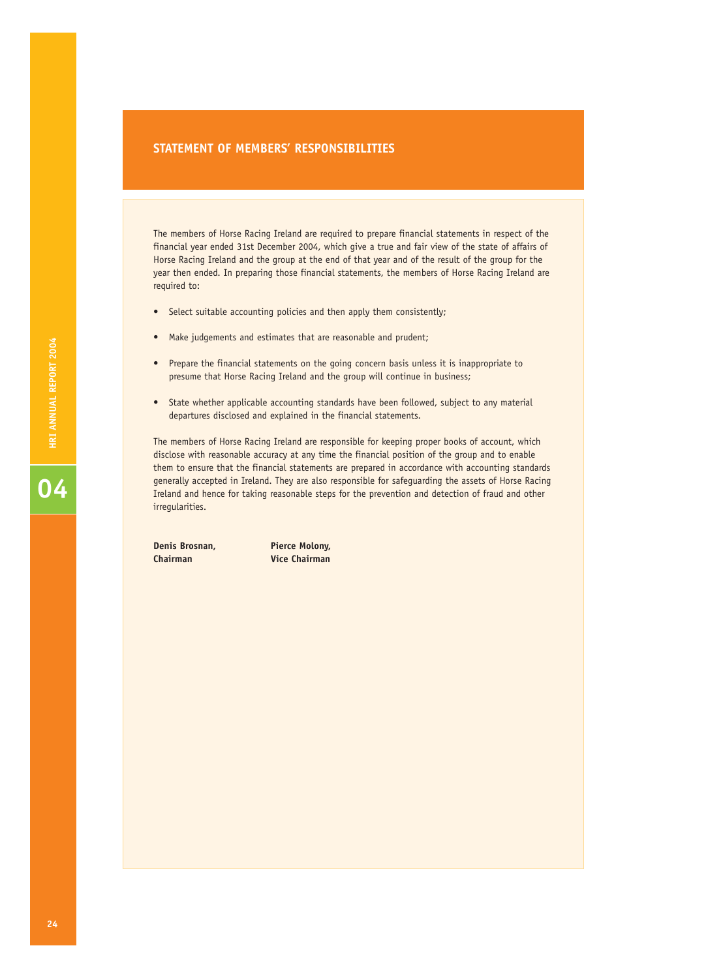### **STATEMENT OF MEMBERS' RESPONSIBILITIES**

The members of Horse Racing Ireland are required to prepare financial statements in respect of the financial year ended 31st December 2004, which give a true and fair view of the state of affairs of Horse Racing Ireland and the group at the end of that year and of the result of the group for the year then ended. In preparing those financial statements, the members of Horse Racing Ireland are required to:

- Select suitable accounting policies and then apply them consistently;
- Make judgements and estimates that are reasonable and prudent;
- Prepare the financial statements on the going concern basis unless it is inappropriate to presume that Horse Racing Ireland and the group will continue in business;
- State whether applicable accounting standards have been followed, subject to any material departures disclosed and explained in the financial statements.

The members of Horse Racing Ireland are responsible for keeping proper books of account, which disclose with reasonable accuracy at any time the financial position of the group and to enable them to ensure that the financial statements are prepared in accordance with accounting standards generally accepted in Ireland. They are also responsible for safeguarding the assets of Horse Racing Ireland and hence for taking reasonable steps for the prevention and detection of fraud and other irregularities.

**Denis Brosnan, Pierce Molony, Chairman Vice Chairman**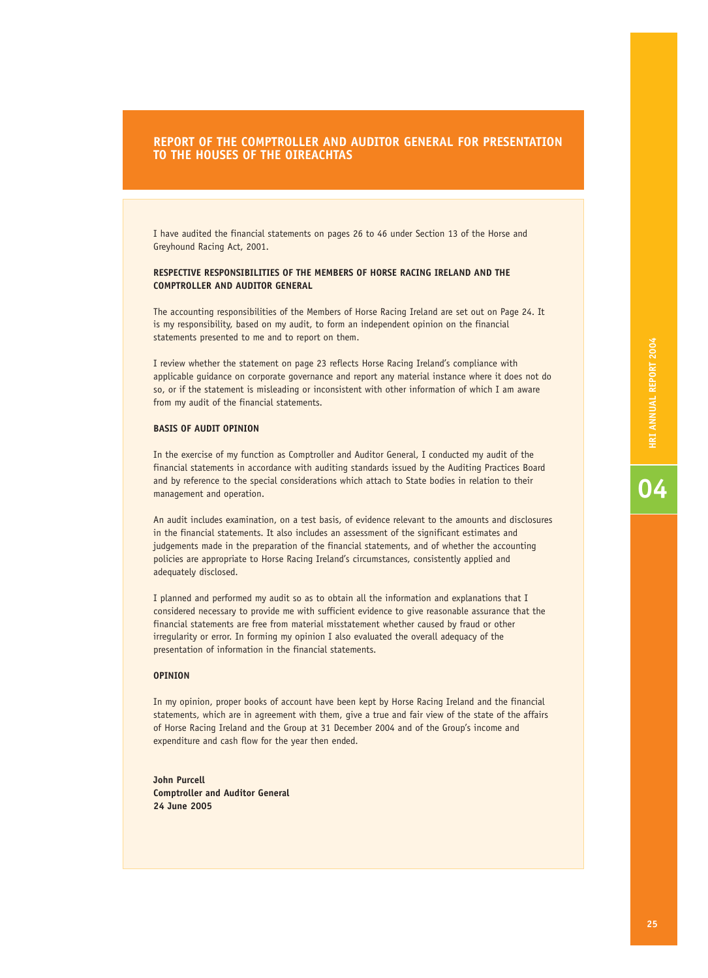### **REPORT OF THE COMPTROLLER AND AUDITOR GENERAL FOR PRESENTATION TO THE HOUSES OF THE OIREACHTAS**

I have audited the financial statements on pages 26 to 46 under Section 13 of the Horse and Greyhound Racing Act, 2001.

### **RESPECTIVE RESPONSIBILITIES OF THE MEMBERS OF HORSE RACING IRELAND AND THE COMPTROLLER AND AUDITOR GENERAL**

The accounting responsibilities of the Members of Horse Racing Ireland are set out on Page 24. It is my responsibility, based on my audit, to form an independent opinion on the financial statements presented to me and to report on them.

I review whether the statement on page 23 reflects Horse Racing Ireland's compliance with applicable guidance on corporate governance and report any material instance where it does not do so, or if the statement is misleading or inconsistent with other information of which I am aware from my audit of the financial statements.

### **BASIS OF AUDIT OPINION**

In the exercise of my function as Comptroller and Auditor General, I conducted my audit of the financial statements in accordance with auditing standards issued by the Auditing Practices Board and by reference to the special considerations which attach to State bodies in relation to their management and operation.

An audit includes examination, on a test basis, of evidence relevant to the amounts and disclosures in the financial statements. It also includes an assessment of the significant estimates and judgements made in the preparation of the financial statements, and of whether the accounting policies are appropriate to Horse Racing Ireland's circumstances, consistently applied and adequately disclosed.

I planned and performed my audit so as to obtain all the information and explanations that I considered necessary to provide me with sufficient evidence to give reasonable assurance that the financial statements are free from material misstatement whether caused by fraud or other irregularity or error. In forming my opinion I also evaluated the overall adequacy of the presentation of information in the financial statements.

### **OPINION**

In my opinion, proper books of account have been kept by Horse Racing Ireland and the financial statements, which are in agreement with them, give a true and fair view of the state of the affairs of Horse Racing Ireland and the Group at 31 December 2004 and of the Group's income and expenditure and cash flow for the year then ended.

**John Purcell Comptroller and Auditor General 24 June 2005**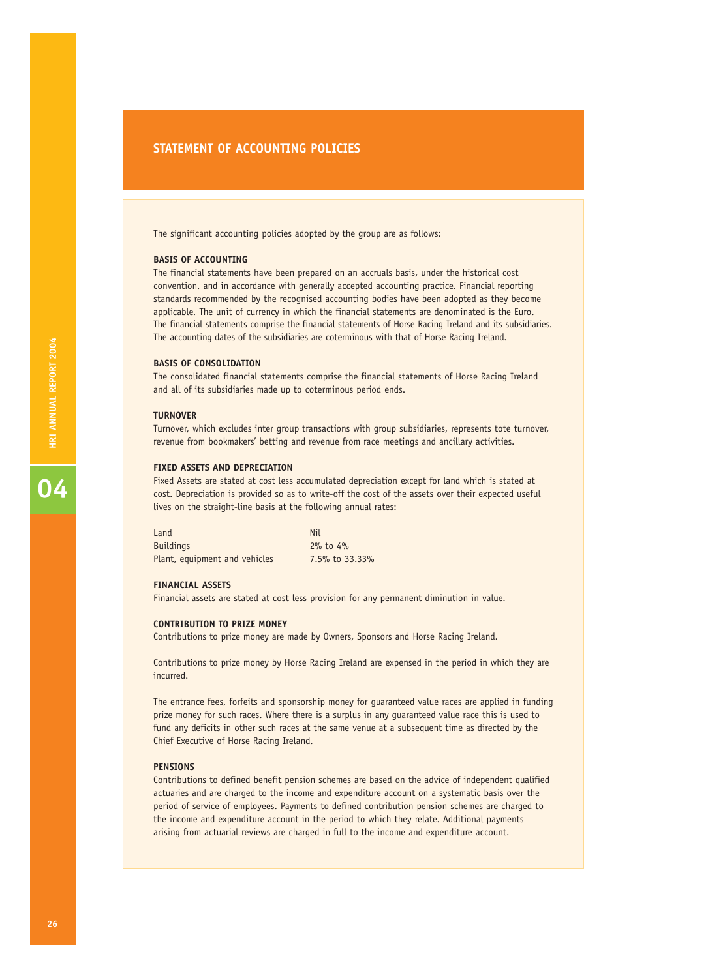### **STATEMENT OF ACCOUNTING POLICIES**

The significant accounting policies adopted by the group are as follows:

### **BASIS OF ACCOUNTING**

The financial statements have been prepared on an accruals basis, under the historical cost convention, and in accordance with generally accepted accounting practice. Financial reporting standards recommended by the recognised accounting bodies have been adopted as they become applicable. The unit of currency in which the financial statements are denominated is the Euro. The financial statements comprise the financial statements of Horse Racing Ireland and its subsidiaries. The accounting dates of the subsidiaries are coterminous with that of Horse Racing Ireland.

### **BASIS OF CONSOLIDATION**

The consolidated financial statements comprise the financial statements of Horse Racing Ireland and all of its subsidiaries made up to coterminous period ends.

### **TURNOVER**

Turnover, which excludes inter group transactions with group subsidiaries, represents tote turnover, revenue from bookmakers' betting and revenue from race meetings and ancillary activities.

### **FIXED ASSETS AND DEPRECIATION**

Fixed Assets are stated at cost less accumulated depreciation except for land which is stated at cost. Depreciation is provided so as to write-off the cost of the assets over their expected useful lives on the straight-line basis at the following annual rates:

| Land                          | Nil            |
|-------------------------------|----------------|
| <b>Buildings</b>              | $2\%$ to $4\%$ |
| Plant, equipment and vehicles | 7.5% to 33.33% |

### **FINANCIAL ASSETS**

Financial assets are stated at cost less provision for any permanent diminution in value.

### **CONTRIBUTION TO PRIZE MONEY**

Contributions to prize money are made by Owners, Sponsors and Horse Racing Ireland.

Contributions to prize money by Horse Racing Ireland are expensed in the period in which they are incurred.

The entrance fees, forfeits and sponsorship money for guaranteed value races are applied in funding prize money for such races. Where there is a surplus in any guaranteed value race this is used to fund any deficits in other such races at the same venue at a subsequent time as directed by the Chief Executive of Horse Racing Ireland.

### **PENSIONS**

Contributions to defined benefit pension schemes are based on the advice of independent qualified actuaries and are charged to the income and expenditure account on a systematic basis over the period of service of employees. Payments to defined contribution pension schemes are charged to the income and expenditure account in the period to which they relate. Additional payments arising from actuarial reviews are charged in full to the income and expenditure account.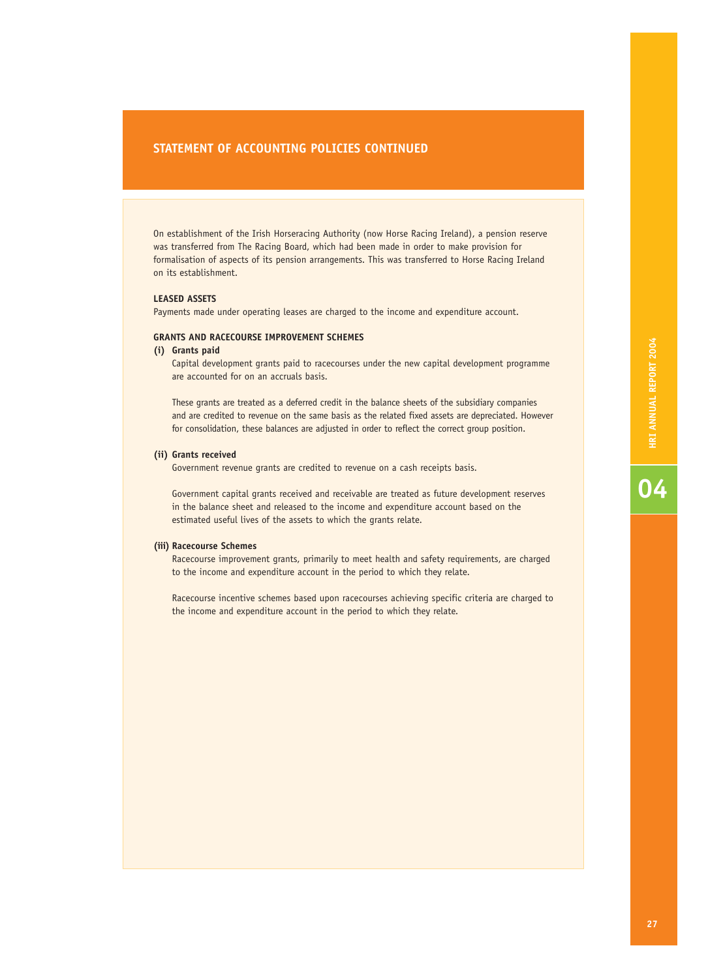### **STATEMENT OF ACCOUNTING POLICIES CONTINUED**

On establishment of the Irish Horseracing Authority (now Horse Racing Ireland), a pension reserve was transferred from The Racing Board, which had been made in order to make provision for formalisation of aspects of its pension arrangements. This was transferred to Horse Racing Ireland on its establishment.

### **LEASED ASSETS**

Payments made under operating leases are charged to the income and expenditure account.

### **GRANTS AND RACECOURSE IMPROVEMENT SCHEMES**

### **(i) Grants paid**

Capital development grants paid to racecourses under the new capital development programme are accounted for on an accruals basis.

These grants are treated as a deferred credit in the balance sheets of the subsidiary companies and are credited to revenue on the same basis as the related fixed assets are depreciated. However for consolidation, these balances are adjusted in order to reflect the correct group position.

### **(ii) Grants received**

Government revenue grants are credited to revenue on a cash receipts basis.

Government capital grants received and receivable are treated as future development reserves in the balance sheet and released to the income and expenditure account based on the estimated useful lives of the assets to which the grants relate.

### **(iii) Racecourse Schemes**

Racecourse improvement grants, primarily to meet health and safety requirements, are charged to the income and expenditure account in the period to which they relate.

Racecourse incentive schemes based upon racecourses achieving specific criteria are charged to the income and expenditure account in the period to which they relate.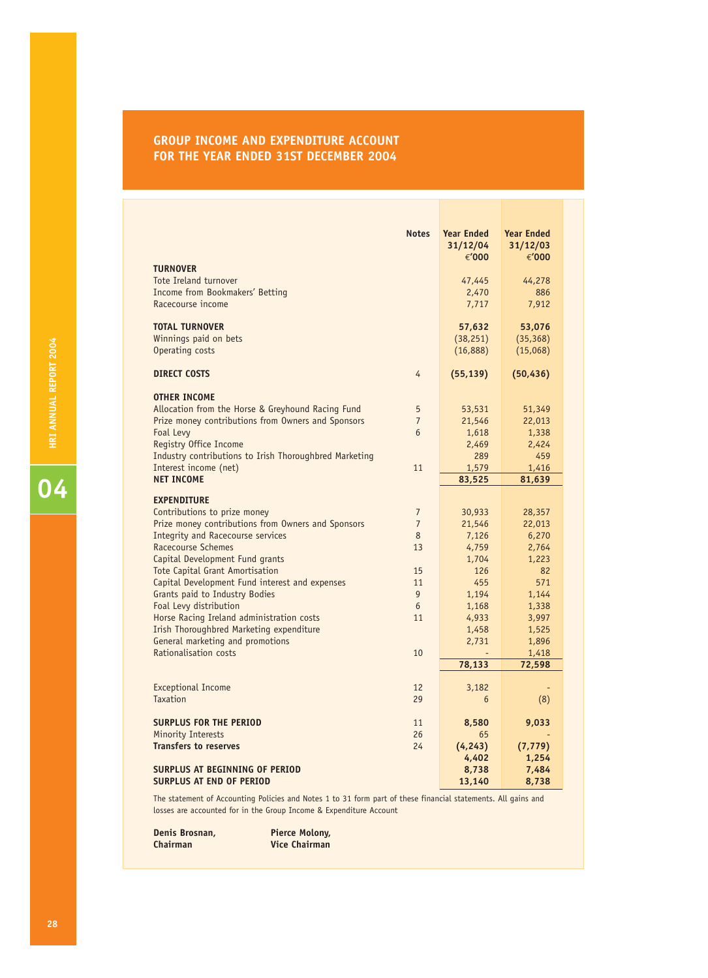### **GROUP INCOME AND EXPENDITURE ACCOUNT FOR THE YEAR ENDED 31ST DECEMBER 2004**

| <b>Notes</b>                                                                  | <b>Year Ended</b><br>31/12/04 | <b>Year Ended</b><br>31/12/03 |  |
|-------------------------------------------------------------------------------|-------------------------------|-------------------------------|--|
|                                                                               | €'000                         | €'000                         |  |
| <b>TURNOVER</b>                                                               |                               |                               |  |
| Tote Ireland turnover                                                         | 47,445                        | 44,278                        |  |
| <b>Income from Bookmakers' Betting</b>                                        | 2,470                         | 886                           |  |
| Racecourse income                                                             | 7,717                         | 7,912                         |  |
| <b>TOTAL TURNOVER</b>                                                         | 57,632                        | 53,076                        |  |
| Winnings paid on bets                                                         | (38, 251)                     | (35, 368)                     |  |
| Operating costs                                                               | (16,888)                      | (15,068)                      |  |
|                                                                               |                               |                               |  |
| <b>DIRECT COSTS</b><br>4                                                      | (55, 139)                     | (50, 436)                     |  |
|                                                                               |                               |                               |  |
| <b>OTHER INCOME</b><br>Allocation from the Horse & Greyhound Racing Fund<br>5 | 53,531                        | 51,349                        |  |
| Prize money contributions from Owners and Sponsors<br>$\overline{7}$          | 21,546                        | 22,013                        |  |
| Foal Levy<br>6                                                                | 1,618                         | 1,338                         |  |
| Registry Office Income                                                        | 2,469                         | 2,424                         |  |
| Industry contributions to Irish Thoroughbred Marketing                        | 289                           | 459                           |  |
| 11<br>Interest income (net)                                                   | 1,579                         | 1,416                         |  |
| <b>NET INCOME</b>                                                             | 83,525                        | 81,639                        |  |
| <b>EXPENDITURE</b>                                                            |                               |                               |  |
| Contributions to prize money<br>$\overline{7}$                                | 30,933                        | 28,357                        |  |
| Prize money contributions from Owners and Sponsors<br>$\overline{7}$          | 21,546                        | 22,013                        |  |
| <b>Integrity and Racecourse services</b><br>8                                 | 7,126                         | 6,270                         |  |
| <b>Racecourse Schemes</b><br>13                                               | 4,759                         | 2,764                         |  |
| Capital Development Fund grants                                               | 1,704                         | 1,223                         |  |
| <b>Tote Capital Grant Amortisation</b><br>15                                  | 126                           | 82                            |  |
| Capital Development Fund interest and expenses<br>11                          | 455                           | 571                           |  |
| Grants paid to Industry Bodies<br>9                                           | 1,194                         | 1,144                         |  |
| Foal Levy distribution<br>6                                                   | 1,168                         | 1,338                         |  |
| Horse Racing Ireland administration costs<br>11                               | 4,933<br>1,458                | 3,997                         |  |
| Irish Thoroughbred Marketing expenditure<br>General marketing and promotions  | 2,731                         | 1,525<br>1,896                |  |
| Rationalisation costs<br>10                                                   |                               | 1,418                         |  |
|                                                                               | 78,133                        | 72,598                        |  |
|                                                                               |                               |                               |  |
| <b>Exceptional Income</b><br>12                                               | 3,182                         |                               |  |
| <b>Taxation</b><br>29                                                         | 6                             | (8)                           |  |
| <b>SURPLUS FOR THE PERIOD</b><br>11                                           | 8,580                         | 9,033                         |  |
| Minority Interests<br>26                                                      | 65                            |                               |  |
| <b>Transfers to reserves</b><br>24                                            | (4, 243)                      | (7, 779)                      |  |
|                                                                               | 4,402                         | 1,254                         |  |
| <b>SURPLUS AT BEGINNING OF PERIOD</b>                                         | 8,738                         | 7,484                         |  |
| <b>SURPLUS AT END OF PERIOD</b>                                               | 13,140                        | 8,738                         |  |

The statement of Accounting Policies and Notes 1 to 31 form part of these financial statements. All gains and losses are accounted for in the Group Income & Expenditure Account

**Denis Brosnan, Pierce Molony, Chairman Chairman Vice Chairman**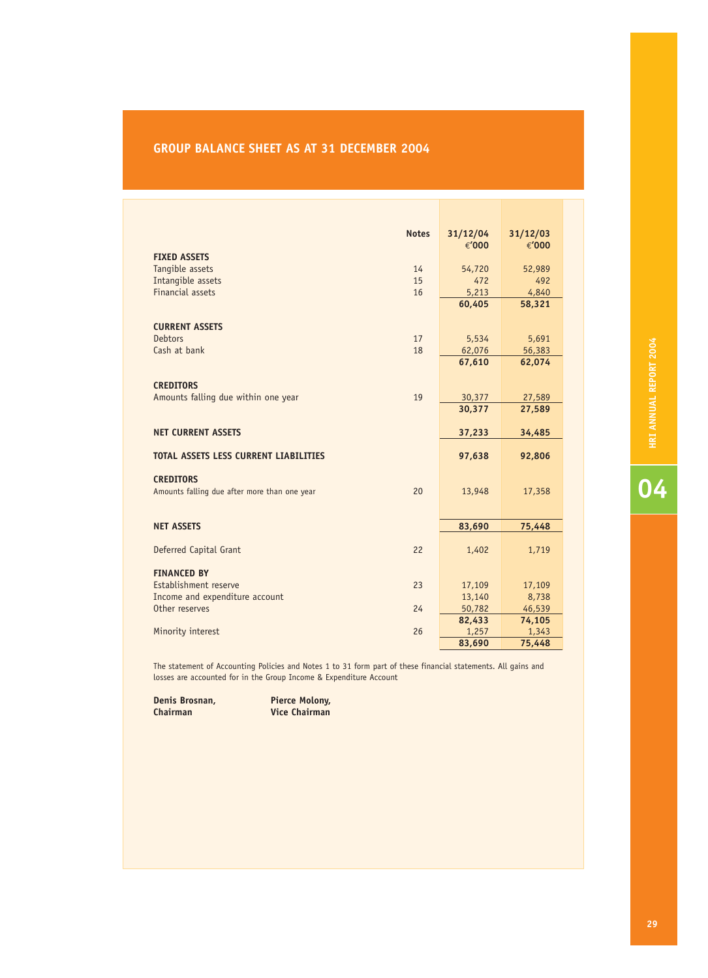### **GROUP BALANCE SHEET AS AT 31 DECEMBER 2004**

| <b>Notes</b>                                       | 31/12/04 | 31/12/03 |
|----------------------------------------------------|----------|----------|
|                                                    | €'000    | €'000    |
| <b>FIXED ASSETS</b>                                |          |          |
| Tangible assets<br>14                              | 54,720   | 52,989   |
| Intangible assets<br>15                            | 472      | 492      |
| <b>Financial assets</b><br>16                      | 5,213    | 4,840    |
|                                                    | 60,405   | 58,321   |
| <b>CURRENT ASSETS</b>                              |          |          |
| 17<br><b>Debtors</b>                               | 5,534    | 5,691    |
| Cash at bank<br>18                                 | 62,076   | 56,383   |
|                                                    | 67,610   | 62,074   |
|                                                    |          |          |
| <b>CREDITORS</b>                                   |          |          |
| Amounts falling due within one year<br>19          | 30,377   | 27,589   |
|                                                    | 30,377   | 27,589   |
| <b>NET CURRENT ASSETS</b>                          |          |          |
|                                                    | 37,233   | 34,485   |
| <b>TOTAL ASSETS LESS CURRENT LIABILITIES</b>       | 97,638   | 92,806   |
|                                                    |          |          |
| <b>CREDITORS</b>                                   |          |          |
| 20<br>Amounts falling due after more than one year | 13,948   | 17,358   |
|                                                    |          |          |
| <b>NET ASSETS</b>                                  | 83,690   | 75,448   |
|                                                    |          |          |
| Deferred Capital Grant<br>22                       | 1,402    | 1,719    |
|                                                    |          |          |
| <b>FINANCED BY</b>                                 |          |          |
| Establishment reserve<br>23                        | 17,109   | 17,109   |
| Income and expenditure account                     | 13,140   | 8,738    |
| Other reserves<br>24                               | 50,782   | 46,539   |
|                                                    | 82,433   | 74,105   |
| Minority interest<br>26                            | 1,257    | 1,343    |
|                                                    | 83,690   | 75,448   |

The statement of Accounting Policies and Notes 1 to 31 form part of these financial statements. All gains and losses are accounted for in the Group Income & Expenditure Account

**Denis Brosnan, Pierce Molony, Pierce Molony, Pierce Molony, Pierce Molony, Pierce Property** 

**Chairman Vice Chairman**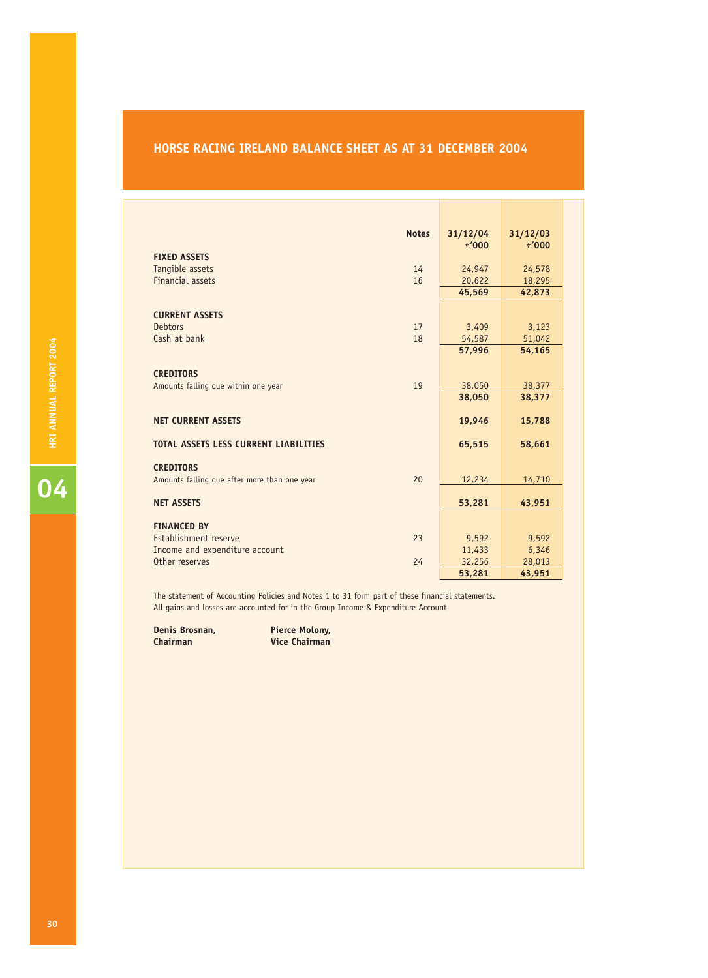### **HORSE RACING IRELAND BALANCE SHEET AS AT 31 DECEMBER 2004**

|                                              | <b>Notes</b> | 31/12/04         | 31/12/03         |
|----------------------------------------------|--------------|------------------|------------------|
|                                              |              | €'000            | €'000            |
| <b>FIXED ASSETS</b>                          |              |                  |                  |
| Tangible assets                              | 14           | 24,947           | 24,578           |
| <b>Financial assets</b>                      | 16           | 20,622           | 18,295           |
|                                              |              | 45,569           | 42,873           |
|                                              |              |                  |                  |
| <b>CURRENT ASSETS</b>                        |              |                  |                  |
| <b>Debtors</b><br>Cash at bank               | 17           | 3,409            | 3,123            |
|                                              | 18           | 54,587<br>57,996 | 51,042<br>54,165 |
|                                              |              |                  |                  |
| <b>CREDITORS</b>                             |              |                  |                  |
| Amounts falling due within one year          | 19           | 38,050           | 38,377           |
|                                              |              | 38,050           | 38,377           |
|                                              |              |                  |                  |
| <b>NET CURRENT ASSETS</b>                    |              | 19,946           | 15,788           |
|                                              |              |                  |                  |
| <b>TOTAL ASSETS LESS CURRENT LIABILITIES</b> |              | 65,515           | 58,661           |
|                                              |              |                  |                  |
| <b>CREDITORS</b>                             |              |                  |                  |
| Amounts falling due after more than one year | 20           | 12,234           | 14,710           |
|                                              |              |                  |                  |
| <b>NET ASSETS</b>                            |              | 53,281           | 43,951           |
| <b>FINANCED BY</b>                           |              |                  |                  |
| Establishment reserve                        | 23           | 9,592            | 9,592            |
| Income and expenditure account               |              | 11,433           | 6,346            |
| Other reserves                               | 24           | 32,256           | 28,013           |
|                                              |              | 53,281           | 43,951           |

The statement of Accounting Policies and Notes 1 to 31 form part of these financial statements. All gains and losses are accounted for in the Group Income & Expenditure Account

**Denis Brosnan, Pierce Molony,<br>
<b>Chairman** Vice Chairman **Chairman Vice Chairman**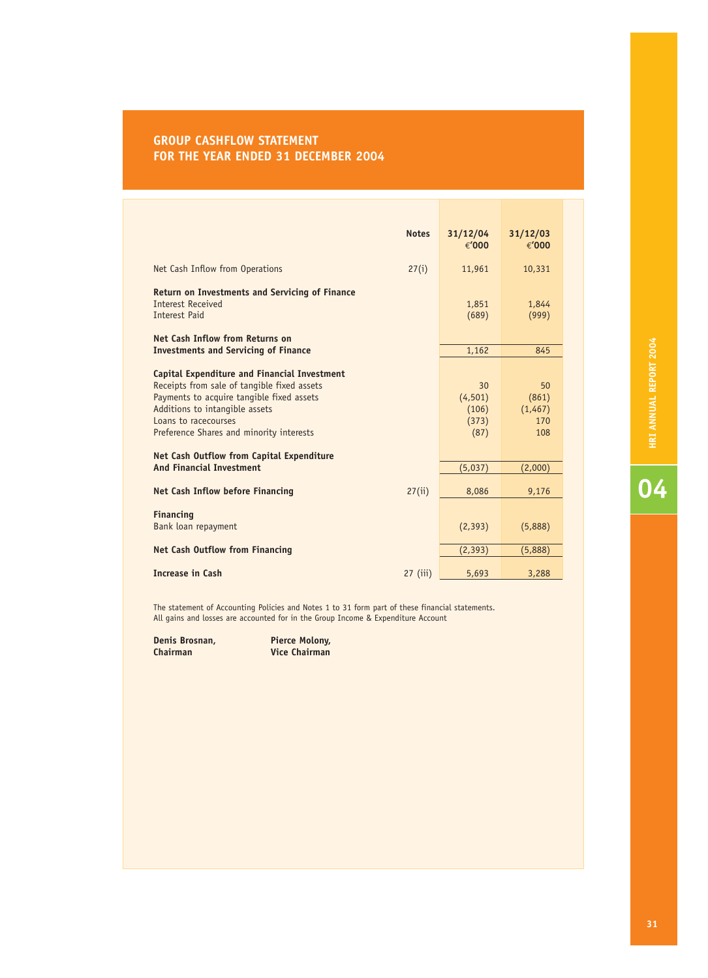### **GROUP CASHFLOW STATEMENT FOR THE YEAR ENDED 31 DECEMBER 2004**

|                                                                                                                                                                                                                                                       | <b>Notes</b> | 31/12/04<br>€'000                        | 31/12/03<br>€'000                    |
|-------------------------------------------------------------------------------------------------------------------------------------------------------------------------------------------------------------------------------------------------------|--------------|------------------------------------------|--------------------------------------|
| Net Cash Inflow from Operations                                                                                                                                                                                                                       | 27(i)        | 11,961                                   | 10,331                               |
| <b>Return on Investments and Servicing of Finance</b><br><b>Interest Received</b><br><b>Interest Paid</b><br>Net Cash Inflow from Returns on                                                                                                          |              | 1,851<br>(689)                           | 1,844<br>(999)                       |
| <b>Investments and Servicing of Finance</b>                                                                                                                                                                                                           |              | 1,162                                    | 845                                  |
| <b>Capital Expenditure and Financial Investment</b><br>Receipts from sale of tangible fixed assets<br>Payments to acquire tangible fixed assets<br>Additions to intangible assets<br>Loans to racecourses<br>Preference Shares and minority interests |              | 30<br>(4, 501)<br>(106)<br>(373)<br>(87) | 50<br>(861)<br>(1,467)<br>170<br>108 |
| Net Cash Outflow from Capital Expenditure<br><b>And Financial Investment</b>                                                                                                                                                                          |              |                                          |                                      |
| <b>Net Cash Inflow before Financing</b>                                                                                                                                                                                                               | 27(ii)       | (5,037)<br>8,086                         | (2,000)<br>9,176                     |
| <b>Financing</b><br>Bank loan repayment                                                                                                                                                                                                               |              | (2, 393)                                 | (5,888)                              |
| <b>Net Cash Outflow from Financing</b>                                                                                                                                                                                                                |              | (2, 393)                                 | (5,888)                              |
| <b>Increase in Cash</b>                                                                                                                                                                                                                               | $27$ (iii)   | 5,693                                    | 3,288                                |

The statement of Accounting Policies and Notes 1 to 31 form part of these financial statements. All gains and losses are accounted for in the Group Income & Expenditure Account

**Denis Brosnan, Pierce Molony, Pierce Molony, Pierce Molony, Pierce Molony, Pierce Pierce Pierce Pierce Pierce** 

**Chairman Vice Chairman**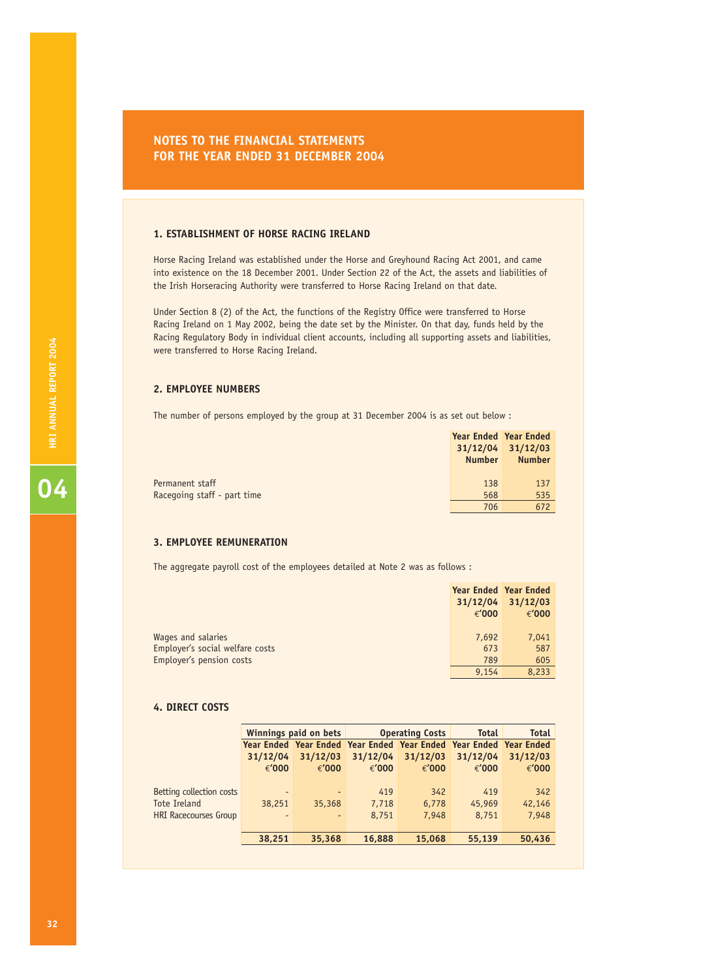### **NOTES TO THE FINANCIAL STATEMENTS FOR THE YEAR ENDED 31 DECEMBER 2004**

### **1. ESTABLISHMENT OF HORSE RACING IRELAND**

Horse Racing Ireland was established under the Horse and Greyhound Racing Act 2001, and came into existence on the 18 December 2001. Under Section 22 of the Act, the assets and liabilities of the Irish Horseracing Authority were transferred to Horse Racing Ireland on that date.

Under Section 8 (2) of the Act, the functions of the Registry Office were transferred to Horse Racing Ireland on 1 May 2002, being the date set by the Minister. On that day, funds held by the Racing Regulatory Body in individual client accounts, including all supporting assets and liabilities, were transferred to Horse Racing Ireland.

### **2. EMPLOYEE NUMBERS**

The number of persons employed by the group at 31 December 2004 is as set out below :

|                             | <b>Year Ended Year Ended</b> |                       |
|-----------------------------|------------------------------|-----------------------|
|                             |                              | $31/12/04$ $31/12/03$ |
|                             | <b>Number</b>                | <b>Number</b>         |
|                             |                              |                       |
| Permanent staff             | 138                          | 137                   |
| Racegoing staff - part time | 568                          | 535                   |
|                             | 706                          | 672                   |

### **3. EMPLOYEE REMUNERATION**

The aggregate payroll cost of the employees detailed at Note 2 was as follows :

|                                 | Year Ended Year Ended |                   |
|---------------------------------|-----------------------|-------------------|
|                                 |                       | 31/12/04 31/12/03 |
|                                 | € $'000$              | € $'000$          |
|                                 |                       |                   |
| Wages and salaries              | 7,692                 | 7,041             |
| Employer's social welfare costs | 673                   | 587               |
| Employer's pension costs        | 789                   | 605               |
|                                 | 9,154                 | 8,233             |

### **4. DIRECT COSTS**

|                              | <b>Winnings paid on bets</b> |                          | <b>Operating Costs</b> |                                                                   | <b>Total</b> | <b>Total</b> |
|------------------------------|------------------------------|--------------------------|------------------------|-------------------------------------------------------------------|--------------|--------------|
|                              |                              |                          |                        | Year Ended Year Ended Year Ended Year Ended Year Ended Year Ended |              |              |
|                              | 31/12/04                     | 31/12/03                 | 31/12/04               | 31/12/03                                                          | 31/12/04     | 31/12/03     |
|                              | € $'000$                     | €'000                    | €'000                  | € $'000$                                                          | € $'000$     | €'000        |
|                              |                              |                          |                        |                                                                   |              |              |
| Betting collection costs     | $\overline{\phantom{0}}$     | $\overline{\phantom{a}}$ | 419                    | 342                                                               | 419          | 342          |
| Tote Ireland                 | 38,251                       | 35,368                   | 7,718                  | 6,778                                                             | 45,969       | 42,146       |
| <b>HRI Racecourses Group</b> | $\overline{\phantom{0}}$     | ٠                        | 8,751                  | 7.948                                                             | 8,751        | 7,948        |
|                              |                              |                          |                        |                                                                   |              |              |
|                              | 38,251                       | 35,368                   | 16,888                 | 15,068                                                            | 55,139       | 50,436       |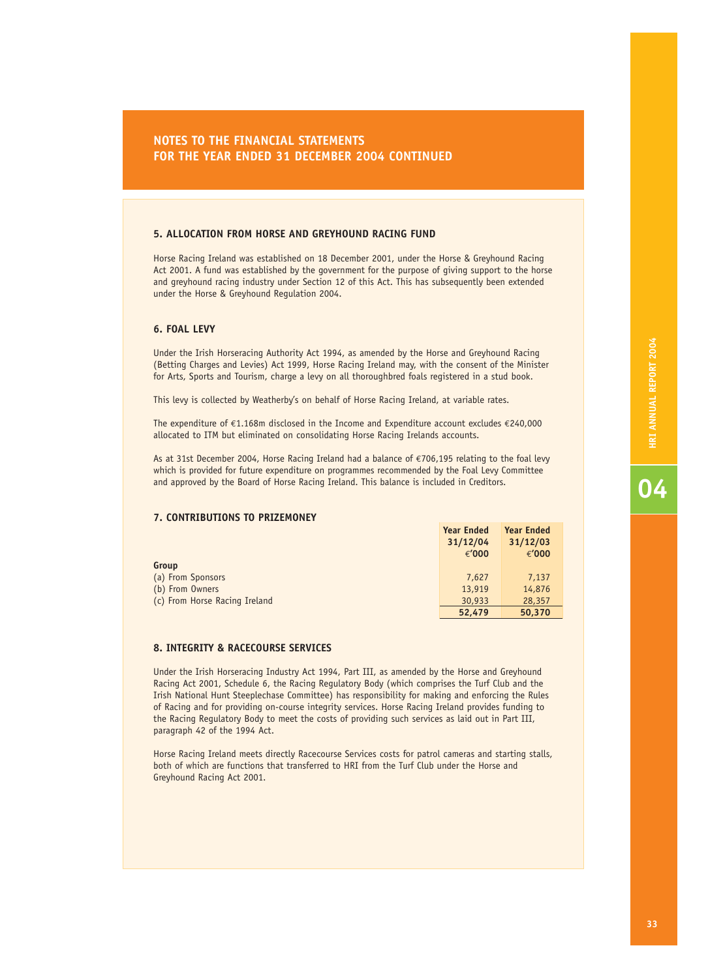### **5. ALLOCATION FROM HORSE AND GREYHOUND RACING FUND**

Horse Racing Ireland was established on 18 December 2001, under the Horse & Greyhound Racing Act 2001. A fund was established by the government for the purpose of giving support to the horse and greyhound racing industry under Section 12 of this Act. This has subsequently been extended under the Horse & Greyhound Regulation 2004.

### **6. FOAL LEVY**

Under the Irish Horseracing Authority Act 1994, as amended by the Horse and Greyhound Racing (Betting Charges and Levies) Act 1999, Horse Racing Ireland may, with the consent of the Minister for Arts, Sports and Tourism, charge a levy on all thoroughbred foals registered in a stud book.

This levy is collected by Weatherby's on behalf of Horse Racing Ireland, at variable rates.

The expenditure of €1.168m disclosed in the Income and Expenditure account excludes €240,000 allocated to ITM but eliminated on consolidating Horse Racing Irelands accounts.

As at 31st December 2004, Horse Racing Ireland had a balance of €706,195 relating to the foal levy which is provided for future expenditure on programmes recommended by the Foal Levy Committee and approved by the Board of Horse Racing Ireland. This balance is included in Creditors.

### **7. CONTRIBUTIONS TO PRIZEMONEY**

|                               | <b>Year Ended</b> | <b>Year Ended</b> |
|-------------------------------|-------------------|-------------------|
|                               | 31/12/04          | 31/12/03          |
|                               | €'000             | € $'000$          |
| Group                         |                   |                   |
| (a) From Sponsors             | 7.627             | 7,137             |
| (b) From Owners               | 13,919            | 14,876            |
| (c) From Horse Racing Ireland | 30,933            | 28,357            |
|                               | 52,479            | 50,370            |

### **8. INTEGRITY & RACECOURSE SERVICES**

Under the Irish Horseracing Industry Act 1994, Part III, as amended by the Horse and Greyhound Racing Act 2001, Schedule 6, the Racing Regulatory Body (which comprises the Turf Club and the Irish National Hunt Steeplechase Committee) has responsibility for making and enforcing the Rules of Racing and for providing on-course integrity services. Horse Racing Ireland provides funding to the Racing Regulatory Body to meet the costs of providing such services as laid out in Part III, paragraph 42 of the 1994 Act.

Horse Racing Ireland meets directly Racecourse Services costs for patrol cameras and starting stalls, both of which are functions that transferred to HRI from the Turf Club under the Horse and Greyhound Racing Act 2001.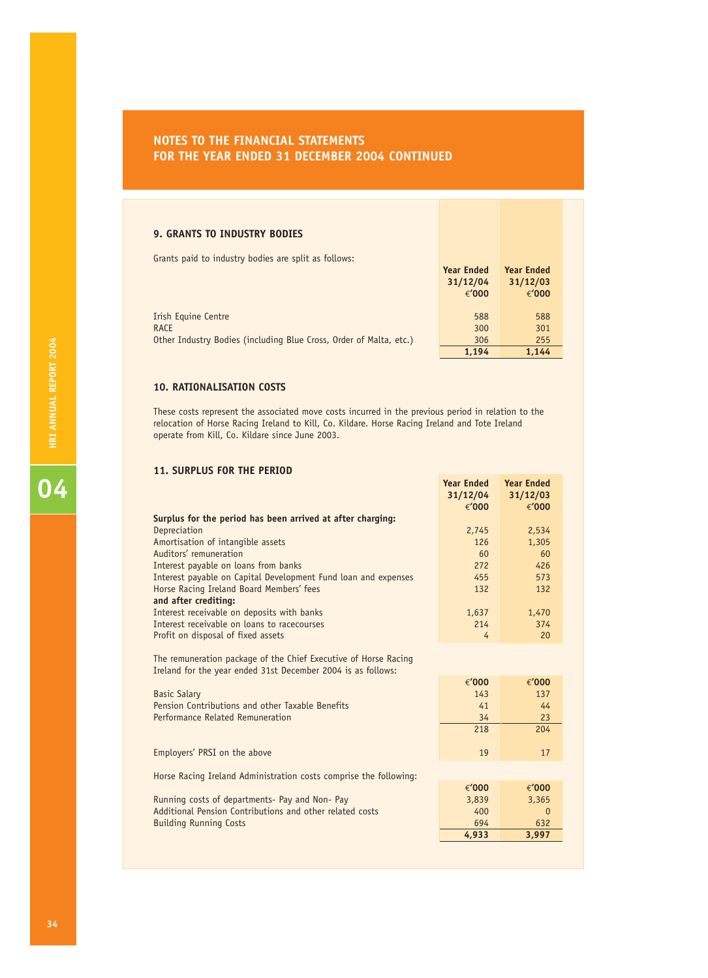### **9. GRANTS TO INDUSTRY BODIES**

Grants paid to industry bodies are split as follows:

|                                                                    | <b>Year Ended</b><br>31/12/04<br>€ $'000$ | <b>Year Ended</b><br>31/12/03<br>€ $'000$ |
|--------------------------------------------------------------------|-------------------------------------------|-------------------------------------------|
| Irish Equine Centre                                                | 588                                       | 588                                       |
| RACE                                                               | 300                                       | 301                                       |
| Other Industry Bodies (including Blue Cross, Order of Malta, etc.) | 306                                       | 255                                       |
|                                                                    | 1.194                                     | 1.144                                     |

### **10. RATIONALISATION COSTS**

These costs represent the associated move costs incurred in the previous period in relation to the relocation of Horse Racing Ireland to Kill, Co. Kildare. Horse Racing Ireland and Tote Ireland operate from Kill, Co. Kildare since June 2003.

**Year Ended Year Ended**

### **11. SURPLUS FOR THE PERIOD**

|                                                                                                                                                        | 31/12/04<br>€'000 | 31/12/03<br>€'000 |
|--------------------------------------------------------------------------------------------------------------------------------------------------------|-------------------|-------------------|
| Surplus for the period has been arrived at after charging:                                                                                             |                   |                   |
| Depreciation                                                                                                                                           | 2,745             | 2,534             |
| Amortisation of intangible assets                                                                                                                      | 126               | 1,305             |
| Auditors' remuneration                                                                                                                                 | 60                | 60                |
| Interest payable on loans from banks                                                                                                                   | 272               | 426               |
| Interest payable on Capital Development Fund loan and expenses                                                                                         | 455               | 573               |
| Horse Racing Ireland Board Members' fees                                                                                                               | 132               | 132               |
| and after crediting:                                                                                                                                   |                   |                   |
| Interest receivable on deposits with banks                                                                                                             | 1,637             | 1,470             |
| Interest receivable on loans to racecourses                                                                                                            | 214               | 374               |
| Profit on disposal of fixed assets                                                                                                                     | 4                 | 20                |
| The remuneration package of the Chief Executive of Horse Racing<br>Ireland for the year ended 31st December 2004 is as follows:<br><b>Basic Salary</b> | €'000<br>143      | €'000<br>137      |
| Pension Contributions and other Taxable Benefits                                                                                                       | 41                | 44                |
| Performance Related Remuneration                                                                                                                       | 34                | 23                |
|                                                                                                                                                        | 218               | 204               |
| Employers' PRSI on the above                                                                                                                           | 19                | 17                |
| Horse Racing Ireland Administration costs comprise the following:                                                                                      |                   |                   |
|                                                                                                                                                        | €'000             | €'000             |
| Running costs of departments- Pay and Non- Pay                                                                                                         | 3,839             | 3,365             |
| Additional Pension Contributions and other related costs                                                                                               | 400               | $\Omega$          |
| <b>Building Running Costs</b>                                                                                                                          | 694               | 632               |
|                                                                                                                                                        | 4,933             | 3,997             |
|                                                                                                                                                        |                   |                   |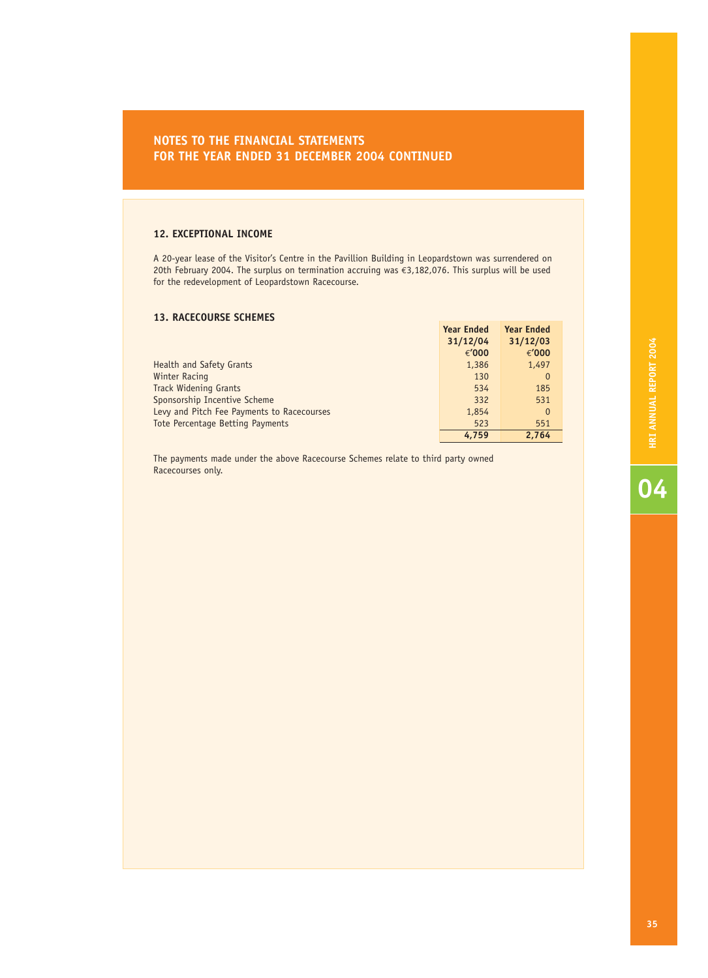### **12. EXCEPTIONAL INCOME**

A 20-year lease of the Visitor's Centre in the Pavillion Building in Leopardstown was surrendered on 20th February 2004. The surplus on termination accruing was €3,182,076. This surplus will be used for the redevelopment of Leopardstown Racecourse.

### **13. RACECOURSE SCHEMES**

|                                            | <b>Year Ended</b> | <b>Year Ended</b> |
|--------------------------------------------|-------------------|-------------------|
|                                            | 31/12/04          | 31/12/03          |
|                                            | € $'000$          | €'000             |
| Health and Safety Grants                   | 1,386             | 1,497             |
| Winter Racing                              | 130               | $\mathbf 0$       |
| <b>Track Widening Grants</b>               | 534               | 185               |
| Sponsorship Incentive Scheme               | 332               | 531               |
| Levy and Pitch Fee Payments to Racecourses | 1,854             | $\Omega$          |
| Tote Percentage Betting Payments           | 523               | 551               |
|                                            | 4.759             | 2.764             |

The payments made under the above Racecourse Schemes relate to third party owned Racecourses only.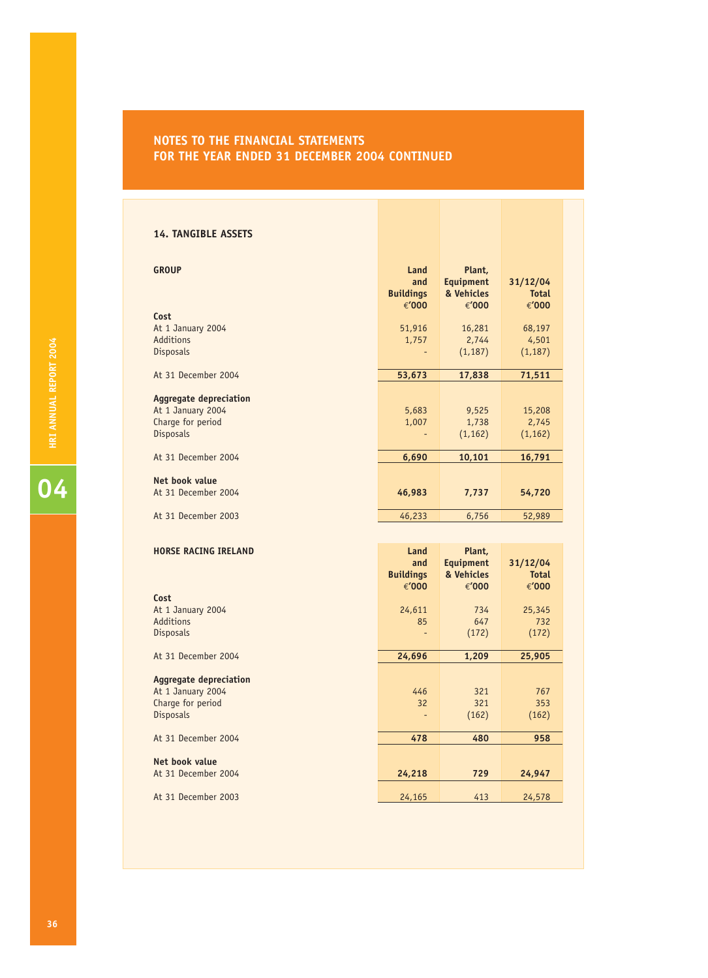### **14. TANGIBLE ASSETS**

| <b>GROUP</b>                                                                         | Land<br>and<br><b>Buildings</b> | Plant,<br><b>Equipment</b><br>& Vehicles | 31/12/04<br><b>Total</b>             |
|--------------------------------------------------------------------------------------|---------------------------------|------------------------------------------|--------------------------------------|
| Cost<br>At 1 January 2004<br>Additions<br>Disposals                                  | €'000<br>51,916<br>1,757        | €'000<br>16,281<br>2,744<br>(1, 187)     | €'000<br>68,197<br>4,501<br>(1, 187) |
| At 31 December 2004                                                                  | 53,673                          | 17,838                                   | 71,511                               |
| <b>Aggregate depreciation</b><br>At 1 January 2004<br>Charge for period<br>Disposals | 5,683<br>1,007                  | 9,525<br>1,738<br>(1, 162)               | 15,208<br>2,745<br>(1, 162)          |
| At 31 December 2004                                                                  | 6,690                           | 10,101                                   | 16,791                               |
| Net book value<br>At 31 December 2004                                                | 46,983                          | 7,737                                    | 54,720                               |
| At 31 December 2003                                                                  | 46,233                          | 6,756                                    | 52,989                               |
|                                                                                      |                                 |                                          |                                      |
| <b>HORSE RACING IRELAND</b>                                                          | Land<br>and                     | Plant,<br><b>Equipment</b>               | 31/12/04                             |

|                               | <b>Buildings</b><br>€'000 | & Vehicles<br>€'000 | <b>Total</b><br>€'000 |
|-------------------------------|---------------------------|---------------------|-----------------------|
| Cost                          |                           |                     |                       |
| At 1 January 2004             | 24,611                    | 734                 | 25,345                |
| Additions                     | 85                        | 647                 | 732                   |
| <b>Disposals</b>              |                           | (172)               | (172)                 |
| At 31 December 2004           | 24,696                    | 1,209               | 25,905                |
|                               |                           |                     |                       |
| <b>Aggregate depreciation</b> |                           |                     |                       |
| At 1 January 2004             | 446                       | 321                 | 767                   |
| Charge for period             | 32                        | 321                 | 353                   |
| <b>Disposals</b>              |                           | (162)               | (162)                 |
| At 31 December 2004           | 478                       | 480                 | 958                   |
|                               |                           |                     |                       |
| Net book value                |                           |                     |                       |
| At 31 December 2004           | 24,218                    | 729                 | 24,947                |
|                               |                           |                     |                       |
| At 31 December 2003           | 24,165                    | 413                 | 24,578                |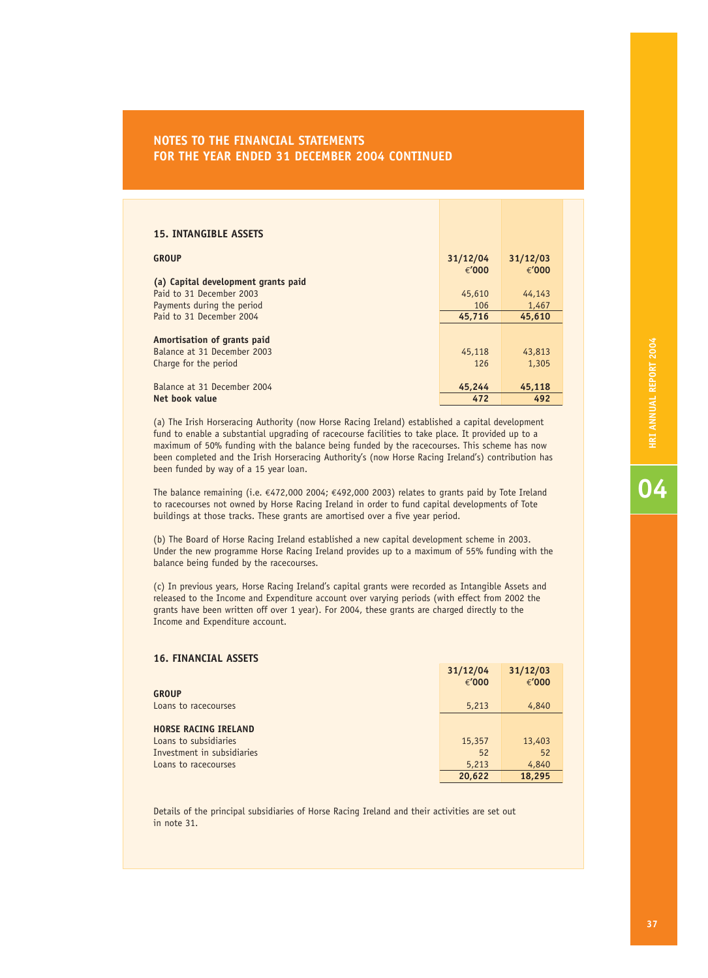| <b>15. INTANGIBLE ASSETS</b>        |          |          |
|-------------------------------------|----------|----------|
| <b>GROUP</b>                        | 31/12/04 | 31/12/03 |
|                                     | € $'000$ | € $'000$ |
| (a) Capital development grants paid |          |          |
| Paid to 31 December 2003            | 45,610   | 44,143   |
| Payments during the period          | 106      | 1,467    |
| Paid to 31 December 2004            | 45,716   | 45,610   |
|                                     |          |          |
| Amortisation of grants paid         |          |          |
| Balance at 31 December 2003         | 45,118   | 43,813   |
| Charge for the period               | 126      | 1,305    |
|                                     |          |          |
| Balance at 31 December 2004         | 45,244   | 45,118   |
| Net book value                      | 472      | 492      |

(a) The Irish Horseracing Authority (now Horse Racing Ireland) established a capital development fund to enable a substantial upgrading of racecourse facilities to take place. It provided up to a maximum of 50% funding with the balance being funded by the racecourses. This scheme has now been completed and the Irish Horseracing Authority's (now Horse Racing Ireland's) contribution has been funded by way of a 15 year loan.

The balance remaining (i.e.  $\epsilon$ 472,000 2004;  $\epsilon$ 492,000 2003) relates to grants paid by Tote Ireland to racecourses not owned by Horse Racing Ireland in order to fund capital developments of Tote buildings at those tracks. These grants are amortised over a five year period.

(b) The Board of Horse Racing Ireland established a new capital development scheme in 2003. Under the new programme Horse Racing Ireland provides up to a maximum of 55% funding with the balance being funded by the racecourses.

(c) In previous years, Horse Racing Ireland's capital grants were recorded as Intangible Assets and released to the Income and Expenditure account over varying periods (with effect from 2002 the grants have been written off over 1 year). For 2004, these grants are charged directly to the Income and Expenditure account.

### **16. FINANCIAL ASSETS 31/12/04 31/12/03** €**'000** €**'000 GROUP Loans to racecourses** 6,213 4,840 **HORSE RACING IRELAND** Loans to subsidiaries 15,357 13,403 Investment in subsidiaries 52 52 **Loans to racecourses 6,213 4,840 20,622 18,295**

Details of the principal subsidiaries of Horse Racing Ireland and their activities are set out in note 31.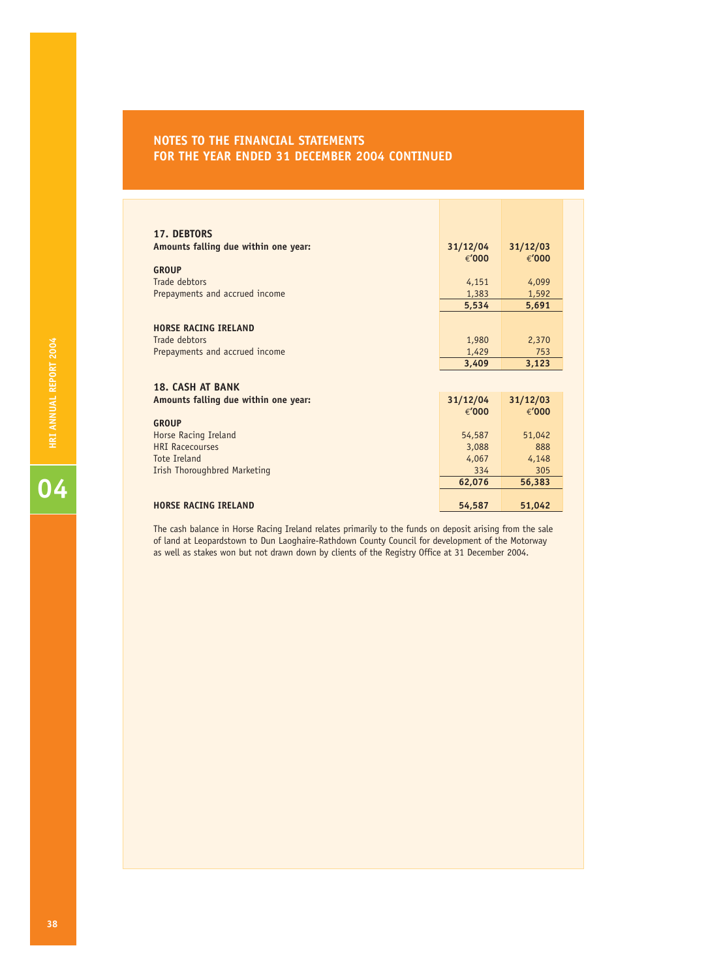| <b>17. DEBTORS</b>                              |                |              |
|-------------------------------------------------|----------------|--------------|
| Amounts falling due within one year:            | 31/12/04       | 31/12/03     |
|                                                 | € $'000$       | €'000        |
| <b>GROUP</b>                                    |                |              |
| Trade debtors                                   | 4,151          | 4,099        |
| Prepayments and accrued income                  | 1,383          | 1,592        |
|                                                 | 5,534          | 5,691        |
|                                                 |                |              |
| <b>HORSE RACING IRELAND</b>                     |                |              |
| Trade debtors<br>Prepayments and accrued income | 1,980<br>1,429 | 2,370<br>753 |
|                                                 | 3,409          | 3,123        |
|                                                 |                |              |
| <b>18. CASH AT BANK</b>                         |                |              |
| Amounts falling due within one year:            | 31/12/04       | 31/12/03     |
|                                                 | € $'000$       | €'000        |
| <b>GROUP</b>                                    |                |              |
| Horse Racing Ireland                            | 54,587         | 51,042       |
| <b>HRI Racecourses</b>                          | 3,088          | 888          |
| Tote Treland                                    | 4,067          | 4,148        |
| Irish Thoroughbred Marketing                    | 334            | 305          |
|                                                 | 62,076         | 56,383       |
|                                                 |                |              |
| <b>HORSE RACING IRELAND</b>                     | 54,587         | 51,042       |

The cash balance in Horse Racing Ireland relates primarily to the funds on deposit arising from the sale of land at Leopardstown to Dun Laoghaire-Rathdown County Council for development of the Motorway as well as stakes won but not drawn down by clients of the Registry Office at 31 December 2004.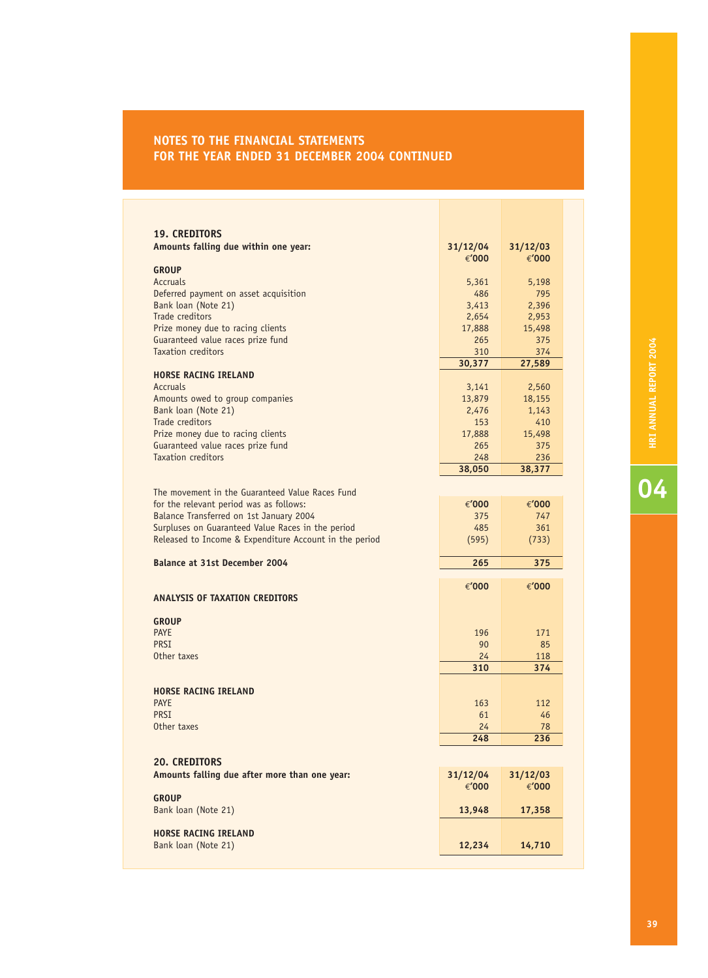| <b>19. CREDITORS</b>                                   |                 |                 |
|--------------------------------------------------------|-----------------|-----------------|
| Amounts falling due within one year:                   | 31/12/04        | 31/12/03        |
|                                                        | € $'000$        | €'000           |
| <b>GROUP</b>                                           |                 |                 |
| <b>Accruals</b>                                        | 5,361           | 5,198           |
| Deferred payment on asset acquisition                  | 486             | 795             |
| Bank loan (Note 21)                                    | 3,413           | 2,396           |
| Trade creditors                                        | 2,654           | 2,953           |
| Prize money due to racing clients                      | 17,888          | 15,498          |
| Guaranteed value races prize fund                      | 265             | 375             |
| <b>Taxation creditors</b>                              | 310             | 374             |
|                                                        | 30,377          | 27,589          |
| <b>HORSE RACING IRELAND</b>                            |                 |                 |
| Accruals                                               | 3,141           | 2,560           |
| Amounts owed to group companies<br>Bank loan (Note 21) | 13,879<br>2,476 | 18,155<br>1,143 |
| Trade creditors                                        | 153             | 410             |
| Prize money due to racing clients                      | 17,888          | 15,498          |
| Guaranteed value races prize fund                      | 265             | 375             |
| Taxation creditors                                     | 248             | 236             |
|                                                        | 38,050          | 38,377          |
|                                                        |                 |                 |
| The movement in the Guaranteed Value Races Fund        |                 |                 |
| for the relevant period was as follows:                | €'000           | €'000           |
| Balance Transferred on 1st January 2004                | 375             | 747             |
| Surpluses on Guaranteed Value Races in the period      | 485             | 361             |
|                                                        |                 |                 |
| Released to Income & Expenditure Account in the period | (595)           | (733)           |
|                                                        |                 |                 |
| <b>Balance at 31st December 2004</b>                   | 265             | 375             |
|                                                        | €'000           | €'000           |
| ANALYSIS OF TAXATION CREDITORS                         |                 |                 |
|                                                        |                 |                 |
| <b>GROUP</b>                                           |                 |                 |
| <b>PAYE</b>                                            | 196             | 171             |
| PRSI                                                   | 90              | 85              |
| Other taxes                                            | 24              | 118             |
|                                                        | 310             | 374             |
|                                                        |                 |                 |
| <b>HORSE RACING IRELAND</b>                            |                 |                 |
| <b>PAYE</b>                                            | 163             | 112             |
| <b>PRSI</b>                                            | 61              | 46              |
| Other taxes                                            | 24<br>248       | 78<br>236       |
|                                                        |                 |                 |
| <b>20. CREDITORS</b>                                   |                 |                 |
| Amounts falling due after more than one year:          | 31/12/04        | 31/12/03        |
|                                                        | €'000           | €'000           |
| <b>GROUP</b>                                           |                 |                 |
| Bank loan (Note 21)                                    | 13,948          | 17,358          |
|                                                        |                 |                 |
| <b>HORSE RACING IRELAND</b><br>Bank loan (Note 21)     | 12,234          | 14,710          |

**O** HRI ANNUAL REPORT 2004 **D**<br>**HRI ANNUAL REPORT** 2004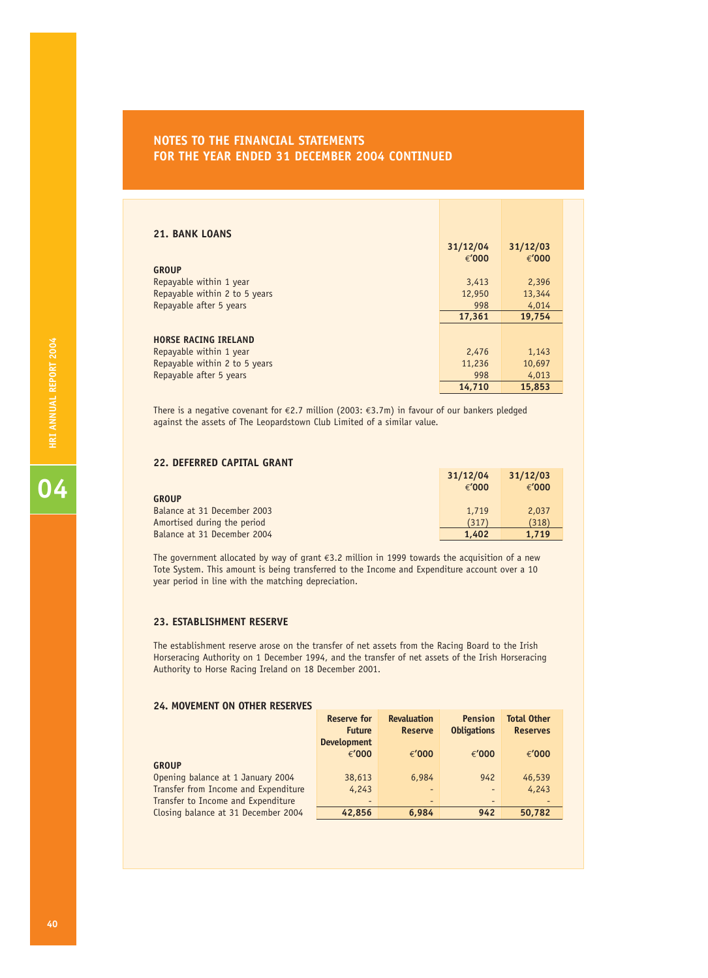| <b>21. BANK LOANS</b>         | 31/12/04 | 31/12/03 |
|-------------------------------|----------|----------|
|                               | € $'000$ | €'000    |
| <b>GROUP</b>                  |          |          |
| Repayable within 1 year       | 3,413    | 2,396    |
| Repayable within 2 to 5 years | 12,950   | 13,344   |
| Repayable after 5 years       | 998      | 4,014    |
|                               | 17,361   | 19,754   |
|                               |          |          |
| <b>HORSE RACING IRELAND</b>   |          |          |
| Repayable within 1 year       | 2,476    | 1,143    |
| Repayable within 2 to 5 years | 11,236   | 10,697   |
| Repayable after 5 years       | 998      | 4,013    |
|                               | 14,710   | 15,853   |

There is a negative covenant for €2.7 million (2003: €3.7m) in favour of our bankers pledged against the assets of The Leopardstown Club Limited of a similar value.

### **22. DEFERRED CAPITAL GRANT**

|                             | 31/12/04        | 31/12/03 |
|-----------------------------|-----------------|----------|
|                             | $\epsilon'$ 000 | € $'000$ |
| <b>GROUP</b>                |                 |          |
| Balance at 31 December 2003 | 1.719           | 2,037    |
| Amortised during the period | (317)           | (318)    |
| Balance at 31 December 2004 | 1.402           | 1.719    |

The government allocated by way of grant €3.2 million in 1999 towards the acquisition of a new Tote System. This amount is being transferred to the Income and Expenditure account over a 10 year period in line with the matching depreciation.

### **23. ESTABLISHMENT RESERVE**

The establishment reserve arose on the transfer of net assets from the Racing Board to the Irish Horseracing Authority on 1 December 1994, and the transfer of net assets of the Irish Horseracing Authority to Horse Racing Ireland on 18 December 2001.

### **24. MOVEMENT ON OTHER RESERVES**

|                                      | <b>Reserve for</b> | <b>Revaluation</b>       | <b>Pension</b>     | <b>Total Other</b> |
|--------------------------------------|--------------------|--------------------------|--------------------|--------------------|
|                                      | <b>Future</b>      | <b>Reserve</b>           | <b>Obligations</b> | <b>Reserves</b>    |
|                                      | <b>Development</b> |                          |                    |                    |
|                                      | € $'000$           | € $'000$                 | €'000              | €'000              |
| <b>GROUP</b>                         |                    |                          |                    |                    |
| Opening balance at 1 January 2004    | 38,613             | 6,984                    | 942                | 46,539             |
| Transfer from Income and Expenditure | 4,243              | $\overline{\phantom{a}}$ |                    | 4,243              |
| Transfer to Income and Expenditure   | -                  | $\overline{\phantom{a}}$ |                    |                    |
| Closing balance at 31 December 2004  | 42,856             | 6.984                    | 942                | 50,782             |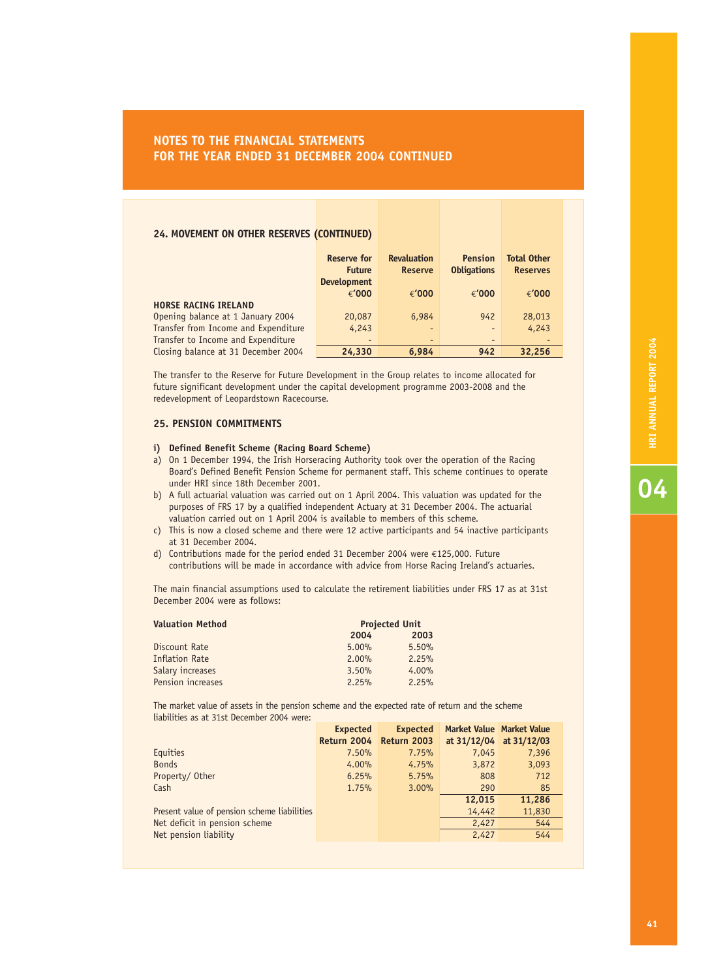### **24. MOVEMENT ON OTHER RESERVES (CONTINUED)**

|                                      | <b>Reserve for</b><br><b>Future</b><br><b>Development</b> | <b>Revaluation</b><br><b>Reserve</b> | <b>Pension</b><br><b>Obligations</b> | <b>Total Other</b><br><b>Reserves</b> |
|--------------------------------------|-----------------------------------------------------------|--------------------------------------|--------------------------------------|---------------------------------------|
|                                      | € $'000$                                                  | € $'000$                             | € $'000$                             | €'000                                 |
| <b>HORSE RACING IRELAND</b>          |                                                           |                                      |                                      |                                       |
| Opening balance at 1 January 2004    | 20,087                                                    | 6,984                                | 942                                  | 28,013                                |
| Transfer from Income and Expenditure | 4,243                                                     | $\overline{a}$                       | $\qquad \qquad -$                    | 4,243                                 |
| Transfer to Income and Expenditure   | -                                                         | $\overline{\phantom{0}}$             | $\overline{\phantom{a}}$             | $\overline{\phantom{0}}$              |
| Closing balance at 31 December 2004  | 24,330                                                    | 6.984                                | 942                                  | 32,256                                |

The transfer to the Reserve for Future Development in the Group relates to income allocated for future significant development under the capital development programme 2003-2008 and the redevelopment of Leopardstown Racecourse.

### **25. PENSION COMMITMENTS**

### **i) Defined Benefit Scheme (Racing Board Scheme)**

- a) On 1 December 1994, the Irish Horseracing Authority took over the operation of the Racing Board's Defined Benefit Pension Scheme for permanent staff. This scheme continues to operate under HRI since 18th December 2001.
- b) A full actuarial valuation was carried out on 1 April 2004. This valuation was updated for the purposes of FRS 17 by a qualified independent Actuary at 31 December 2004. The actuarial valuation carried out on 1 April 2004 is available to members of this scheme.
- c) This is now a closed scheme and there were 12 active participants and 54 inactive participants at 31 December 2004.
- d) Contributions made for the period ended 31 December 2004 were €125,000. Future contributions will be made in accordance with advice from Horse Racing Ireland's actuaries.

The main financial assumptions used to calculate the retirement liabilities under FRS 17 as at 31st December 2004 were as follows:

| <b>Valuation Method</b> | <b>Projected Unit</b> |       |
|-------------------------|-----------------------|-------|
|                         | 2004                  | 2003  |
| Discount Rate           | 5.00%                 | 5.50% |
| <b>Inflation Rate</b>   | $2.00\%$              | 2.25% |
| Salary increases        | 3.50%                 | 4.00% |
| Pension increases       | 2.25%                 | 2.25% |

The market value of assets in the pension scheme and the expected rate of return and the scheme liabilities as at 31st December 2004 were:

|                                             | <b>Expected</b>         | <b>Expected</b> | <b>Market Value Market Value</b> |        |
|---------------------------------------------|-------------------------|-----------------|----------------------------------|--------|
|                                             | Return 2004 Return 2003 |                 | at $31/12/04$ at $31/12/03$      |        |
| Equities                                    | 7.50%                   | 7.75%           | 7,045                            | 7,396  |
| <b>Bonds</b>                                | 4.00%                   | 4.75%           | 3,872                            | 3,093  |
| Property/Other                              | 6.25%                   | 5.75%           | 808                              | 712    |
| Cash                                        | 1.75%                   | $3.00\%$        | 290                              | 85     |
|                                             |                         |                 | 12,015                           | 11,286 |
| Present value of pension scheme liabilities |                         |                 | 14,442                           | 11,830 |
| Net deficit in pension scheme               |                         |                 | 2,427                            | 544    |
| Net pension liability                       |                         |                 | 2,427                            | 544    |
|                                             |                         |                 |                                  |        |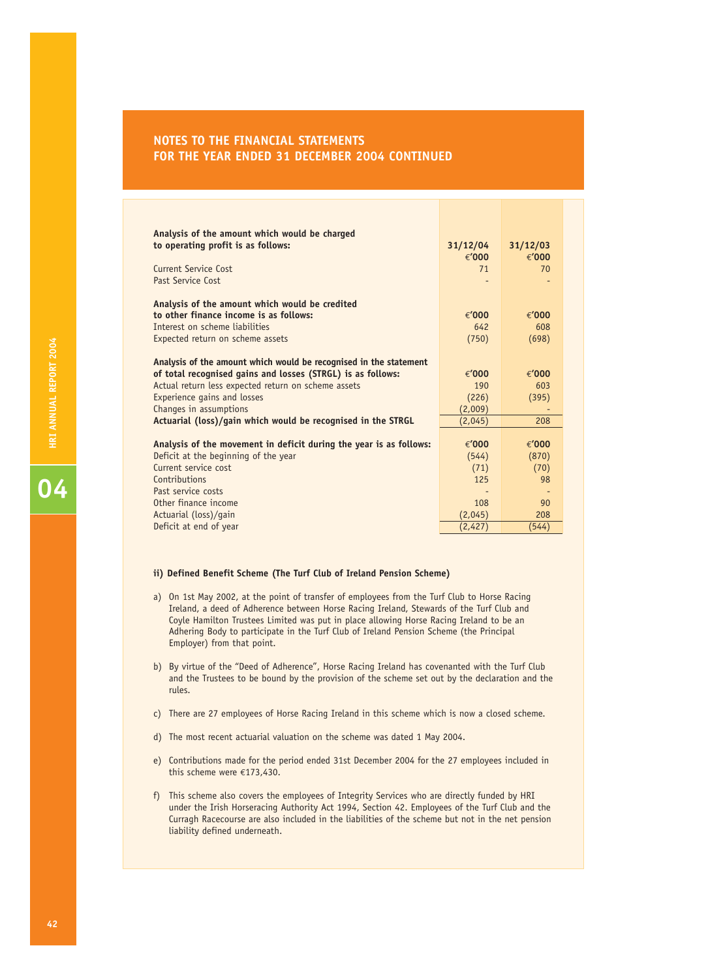| Analysis of the amount which would be charged<br>to operating profit is as follows:<br><b>Current Service Cost</b><br>Past Service Cost | 31/12/04<br>€ $'000$<br>71 | 31/12/03<br>€'000<br>70 |
|-----------------------------------------------------------------------------------------------------------------------------------------|----------------------------|-------------------------|
| Analysis of the amount which would be credited                                                                                          |                            |                         |
| to other finance income is as follows:                                                                                                  | € $'000$                   | €'000                   |
| Interest on scheme liabilities                                                                                                          | 642                        | 608                     |
| Expected return on scheme assets                                                                                                        | (750)                      | (698)                   |
| Analysis of the amount which would be recognised in the statement                                                                       | €'000                      | €'000                   |
| of total recognised gains and losses (STRGL) is as follows:<br>Actual return less expected return on scheme assets                      | 190                        | 603                     |
| <b>Experience gains and losses</b>                                                                                                      | (226)                      | (395)                   |
| Changes in assumptions                                                                                                                  | (2,009)                    |                         |
| Actuarial (loss)/gain which would be recognised in the STRGL                                                                            | (2,045)                    | 208                     |
|                                                                                                                                         |                            |                         |
| Analysis of the movement in deficit during the year is as follows:                                                                      | € $'000$                   | €'000                   |
| Deficit at the beginning of the year                                                                                                    | (544)                      | (870)                   |
| Current service cost                                                                                                                    | (71)                       | (70)                    |
| Contributions                                                                                                                           | 125                        | 98                      |
| Past service costs                                                                                                                      |                            |                         |
| Other finance income                                                                                                                    | 108                        | 90                      |
| Actuarial (loss)/gain                                                                                                                   | (2,045)                    | 208                     |
| Deficit at end of year                                                                                                                  | (2,427)                    | (544)                   |

### **ii) Defined Benefit Scheme (The Turf Club of Ireland Pension Scheme)**

- a) On 1st May 2002, at the point of transfer of employees from the Turf Club to Horse Racing Ireland, a deed of Adherence between Horse Racing Ireland, Stewards of the Turf Club and Coyle Hamilton Trustees Limited was put in place allowing Horse Racing Ireland to be an Adhering Body to participate in the Turf Club of Ireland Pension Scheme (the Principal Employer) from that point.
- b) By virtue of the "Deed of Adherence", Horse Racing Ireland has covenanted with the Turf Club and the Trustees to be bound by the provision of the scheme set out by the declaration and the rules.
- c) There are 27 employees of Horse Racing Ireland in this scheme which is now a closed scheme.
- d) The most recent actuarial valuation on the scheme was dated 1 May 2004.
- e) Contributions made for the period ended 31st December 2004 for the 27 employees included in this scheme were €173,430.
- f) This scheme also covers the employees of Integrity Services who are directly funded by HRI under the Irish Horseracing Authority Act 1994, Section 42. Employees of the Turf Club and the Curragh Racecourse are also included in the liabilities of the scheme but not in the net pension liability defined underneath.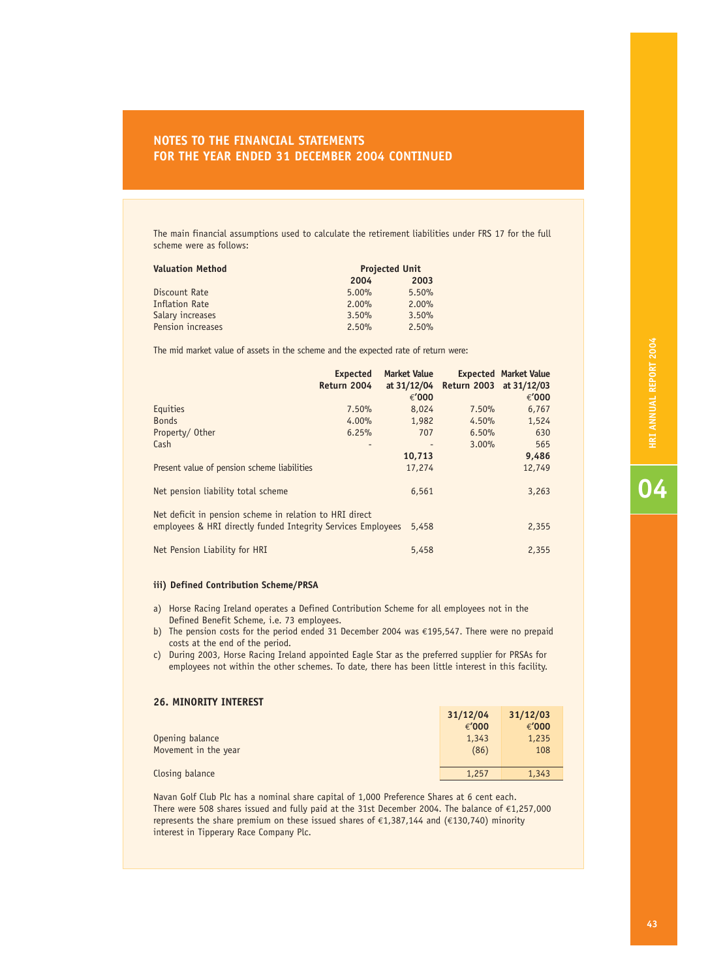The main financial assumptions used to calculate the retirement liabilities under FRS 17 for the full scheme were as follows:

| <b>Valuation Method</b> | <b>Projected Unit</b> |          |  |
|-------------------------|-----------------------|----------|--|
|                         | 2004                  | 2003     |  |
| Discount Rate           | 5.00%                 | 5.50%    |  |
| <b>Inflation Rate</b>   | $2.00\%$              | $2.00\%$ |  |
| Salary increases        | 3.50%                 | 3.50%    |  |
| Pension increases       | 2.50%                 | 2.50%    |  |

The mid market value of assets in the scheme and the expected rate of return were:

|                                                                                                                         | <b>Expected</b><br>Return 2004 | <b>Market Value</b><br>at 31/12/04<br>€'000 | Return 2003 at 31/12/03 | <b>Expected Market Value</b><br>€'000 |
|-------------------------------------------------------------------------------------------------------------------------|--------------------------------|---------------------------------------------|-------------------------|---------------------------------------|
| Equities                                                                                                                | 7.50%                          | 8,024                                       | 7.50%                   | 6,767                                 |
| <b>Bonds</b>                                                                                                            | 4.00%                          | 1,982                                       | 4.50%                   | 1,524                                 |
| Property/Other                                                                                                          | 6.25%                          | 707                                         | 6.50%                   | 630                                   |
| Cash                                                                                                                    |                                |                                             | 3.00%                   | 565                                   |
|                                                                                                                         |                                | 10,713                                      |                         | 9,486                                 |
| Present value of pension scheme liabilities                                                                             |                                | 17,274                                      |                         | 12,749                                |
| Net pension liability total scheme                                                                                      |                                | 6,561                                       |                         | 3,263                                 |
| Net deficit in pension scheme in relation to HRI direct<br>employees & HRI directly funded Integrity Services Employees |                                | 5,458                                       |                         | 2,355                                 |
| Net Pension Liability for HRI                                                                                           |                                | 5,458                                       |                         | 2,355                                 |

### **iii) Defined Contribution Scheme/PRSA**

- a) Horse Racing Ireland operates a Defined Contribution Scheme for all employees not in the Defined Benefit Scheme, i.e. 73 employees.
- b) The pension costs for the period ended 31 December 2004 was €195,547. There were no prepaid costs at the end of the period.
- c) During 2003, Horse Racing Ireland appointed Eagle Star as the preferred supplier for PRSAs for employees not within the other schemes. To date, there has been little interest in this facility.

### **26. MINORITY INTEREST**

|                      | 31/12/04 | 31/12/03 |
|----------------------|----------|----------|
|                      | € $'000$ | €'000    |
| Opening balance      | 1,343    | 1,235    |
| Movement in the year | (86)     | 108      |
|                      |          |          |
| Closing balance      | 1,257    | 1,343    |

Navan Golf Club Plc has a nominal share capital of 1,000 Preference Shares at 6 cent each. There were 508 shares issued and fully paid at the 31st December 2004. The balance of €1,257,000 represents the share premium on these issued shares of €1,387,144 and (€130,740) minority interest in Tipperary Race Company Plc.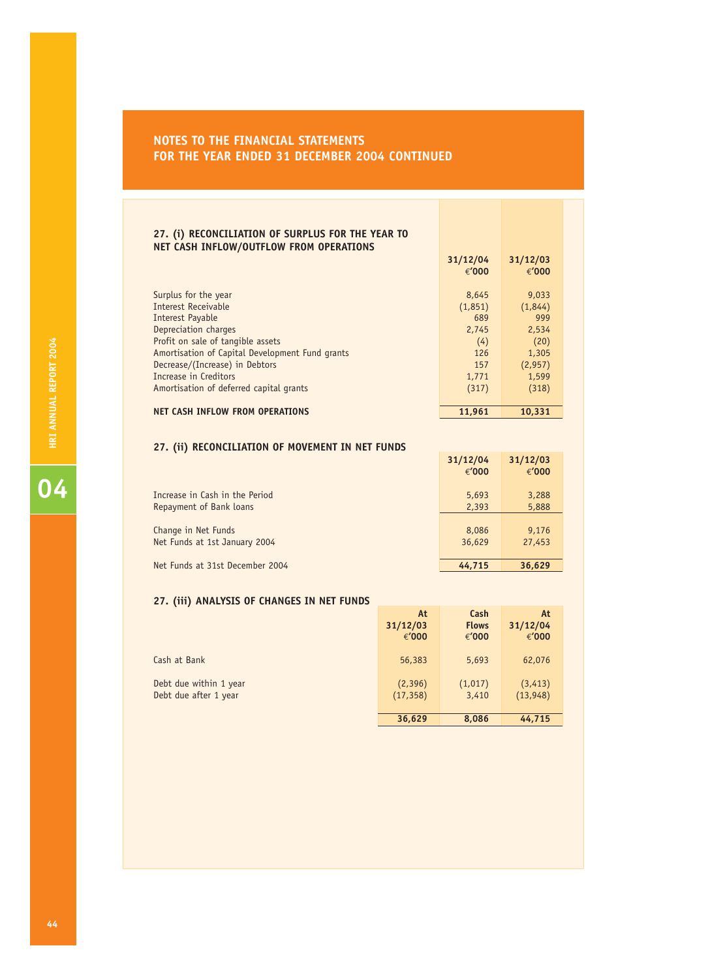### **27. (i) RECONCILIATION OF SURPLUS FOR THE YEAR TO NET CASH INFLOW/OUTFLOW FROM OPERATIONS**

|                                                           | 31/12/04<br>€'000 | 31/12/03<br>€'000 |
|-----------------------------------------------------------|-------------------|-------------------|
| Surplus for the year<br>Interest Receivable               | 8,645<br>(1,851)  | 9,033<br>(1,844)  |
| Interest Payable                                          | 689               | 999               |
| Depreciation charges<br>Profit on sale of tangible assets | 2,745<br>(4)      | 2,534<br>(20)     |
| Amortisation of Capital Development Fund grants           | 126               | 1,305             |
| Decrease/(Increase) in Debtors                            | 157               | (2,957)           |
| Increase in Creditors                                     | 1,771             | 1,599             |
| Amortisation of deferred capital grants                   | (317)             | (318)             |
| NET CASH INFLOW FROM OPERATIONS                           | 11,961            | 10.331            |

### **27. (ii) RECONCILIATION OF MOVEMENT IN NET FUNDS**

|                                 | 31/12/04<br>€'000 | 31/12/03<br>€'000 |
|---------------------------------|-------------------|-------------------|
| Increase in Cash in the Period  | 5,693             | 3,288             |
| Repayment of Bank loans         | 2,393             | 5,888             |
| Change in Net Funds             | 8,086             | 9,176             |
| Net Funds at 1st January 2004   | 36,629            | 27,453            |
| Net Funds at 31st December 2004 | 44,715            | 36,629            |

**31/12/04 31/12/03**

### **27. (iii) ANALYSIS OF CHANGES IN NET FUNDS**

|                        | At        | Cash         | At        |
|------------------------|-----------|--------------|-----------|
|                        | 31/12/03  | <b>Flows</b> | 31/12/04  |
|                        | € $'000$  | € $'000$     | €'000     |
| Cash at Bank           | 56,383    | 5,693        | 62,076    |
| Debt due within 1 year | (2,396)   | (1,017)      | (3, 413)  |
| Debt due after 1 year  | (17, 358) | 3,410        | (13, 948) |
|                        | 36,629    | 8,086        | 44,715    |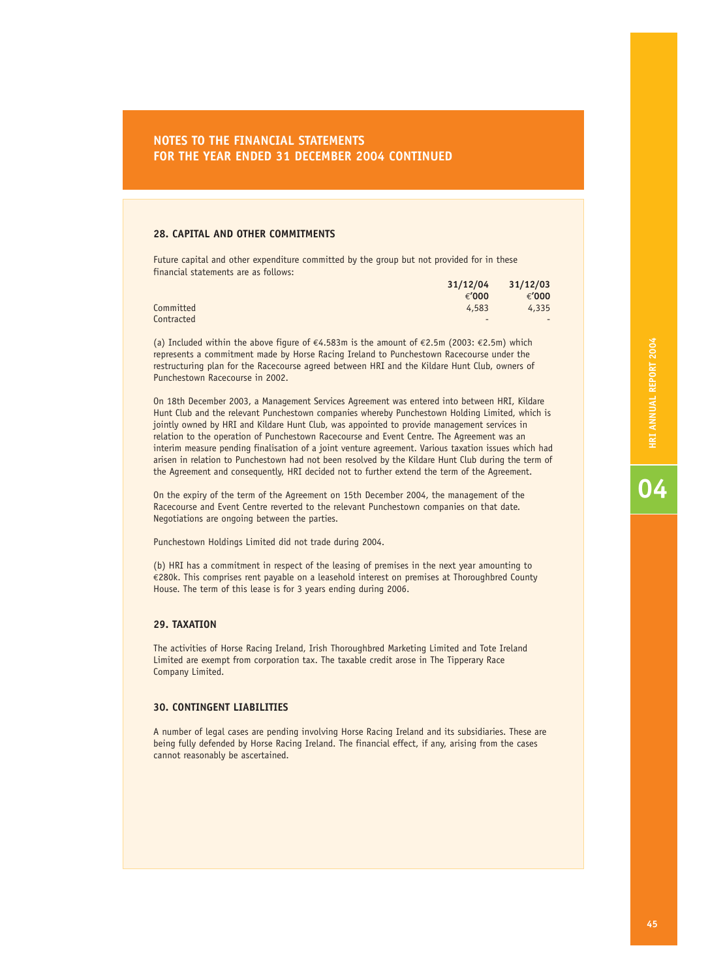### **28. CAPITAL AND OTHER COMMITMENTS**

Future capital and other expenditure committed by the group but not provided for in these financial statements are as follows:

|            |          | $31/12/04$ $31/12/03$ |
|------------|----------|-----------------------|
|            | € $'000$ | € $'000$              |
| Committed  | 4,583    | 4,335                 |
| Contracted | $\sim$   | $\sim$                |

(a) Included within the above figure of €4.583m is the amount of €2.5m (2003: €2.5m) which represents a commitment made by Horse Racing Ireland to Punchestown Racecourse under the restructuring plan for the Racecourse agreed between HRI and the Kildare Hunt Club, owners of Punchestown Racecourse in 2002.

On 18th December 2003, a Management Services Agreement was entered into between HRI, Kildare Hunt Club and the relevant Punchestown companies whereby Punchestown Holding Limited, which is jointly owned by HRI and Kildare Hunt Club, was appointed to provide management services in relation to the operation of Punchestown Racecourse and Event Centre. The Agreement was an interim measure pending finalisation of a joint venture agreement. Various taxation issues which had arisen in relation to Punchestown had not been resolved by the Kildare Hunt Club during the term of the Agreement and consequently, HRI decided not to further extend the term of the Agreement.

On the expiry of the term of the Agreement on 15th December 2004, the management of the Racecourse and Event Centre reverted to the relevant Punchestown companies on that date. Negotiations are ongoing between the parties.

Punchestown Holdings Limited did not trade during 2004.

(b) HRI has a commitment in respect of the leasing of premises in the next year amounting to €280k. This comprises rent payable on a leasehold interest on premises at Thoroughbred County House. The term of this lease is for 3 years ending during 2006.

### **29. TAXATION**

The activities of Horse Racing Ireland, Irish Thoroughbred Marketing Limited and Tote Ireland Limited are exempt from corporation tax. The taxable credit arose in The Tipperary Race Company Limited.

### **30. CONTINGENT LIABILITIES**

A number of legal cases are pending involving Horse Racing Ireland and its subsidiaries. These are being fully defended by Horse Racing Ireland. The financial effect, if any, arising from the cases cannot reasonably be ascertained.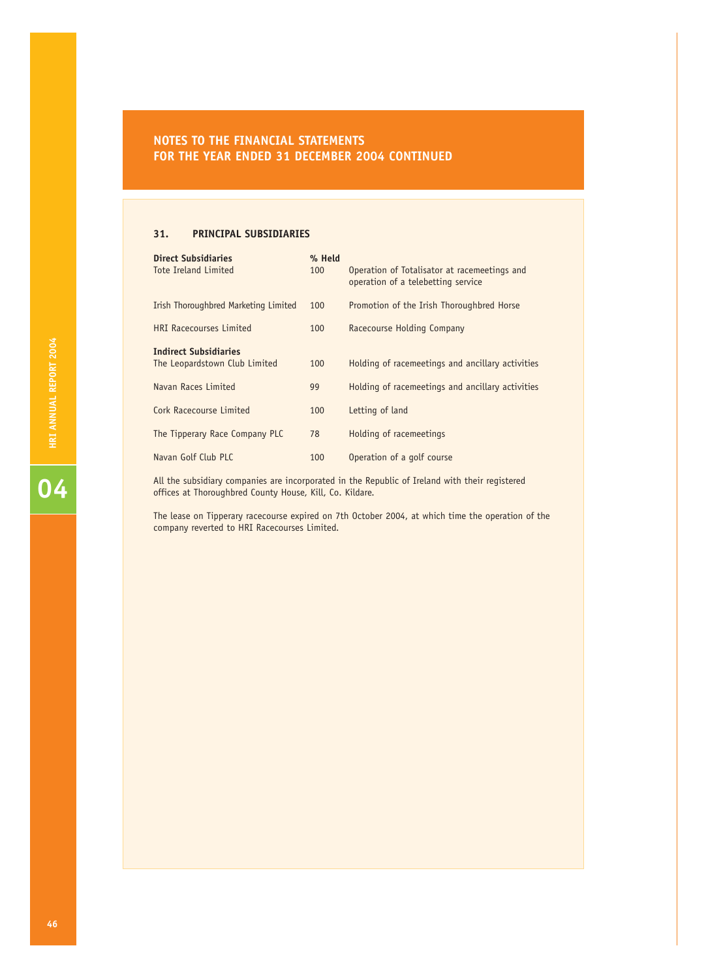### **31. PRINCIPAL SUBSIDIARIES**

| <b>Direct Subsidiaries</b><br><b>Tote Ireland Limited</b>     | % Held<br>100 | Operation of Totalisator at racemeetings and<br>operation of a telebetting service |
|---------------------------------------------------------------|---------------|------------------------------------------------------------------------------------|
| Irish Thoroughbred Marketing Limited                          | 100           | Promotion of the Irish Thoroughbred Horse                                          |
| <b>HRI Racecourses Limited</b>                                | 100           | <b>Racecourse Holding Company</b>                                                  |
| <b>Indirect Subsidiaries</b><br>The Leopardstown Club Limited | 100           | Holding of racemeetings and ancillary activities                                   |
| Navan Races Limited                                           | 99            | Holding of racemeetings and ancillary activities                                   |
| Cork Racecourse Limited                                       | 100           | Letting of land                                                                    |
| The Tipperary Race Company PLC                                | 78            | Holding of racemeetings                                                            |
| Navan Golf Club PLC                                           | 100           | Operation of a golf course                                                         |

All the subsidiary companies are incorporated in the Republic of Ireland with their registered offices at Thoroughbred County House, Kill, Co. Kildare.

The lease on Tipperary racecourse expired on 7th October 2004, at which time the operation of the company reverted to HRI Racecourses Limited.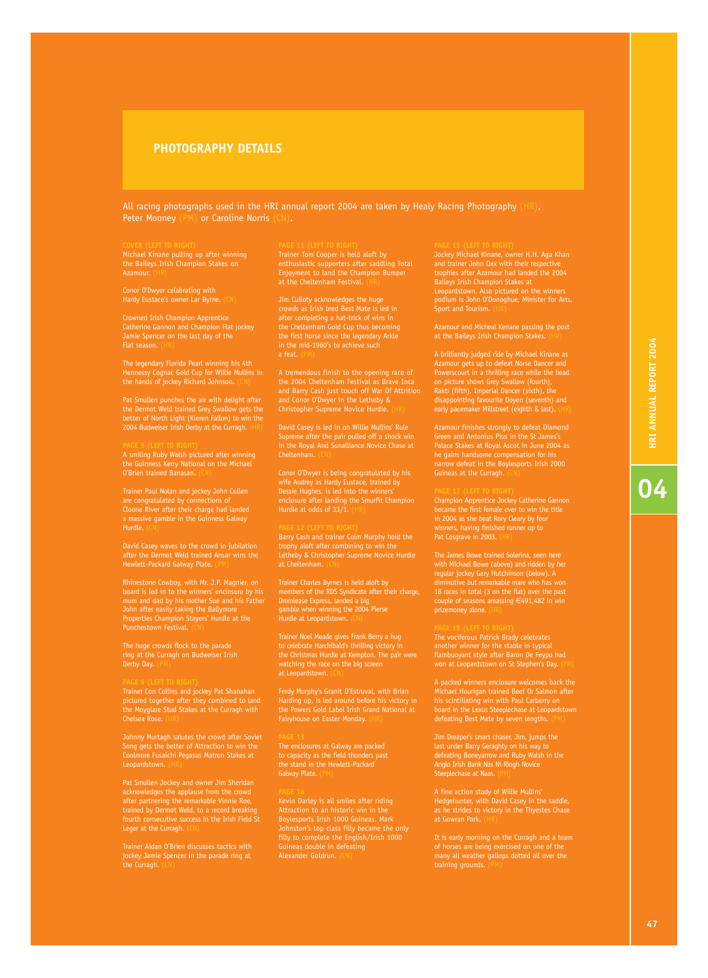# **PHOTOGRAPHY DETAILS**

All racing photographs used in the HRI annual report 2004 are taken by Healy Racing Photography (HR), Peter Mooney (PM) or Caroline Norris (CN). or Caroline Norris (CN).

Michael Kinane pulling up after winning Azamour.

Conor O'Dwyer celabrating with Hardy Eustace's owner Lar Byrne. (CN)

Crowned Irish Champion Apprentice Flat season.

The legendary Florida Pearl winning his 4th Hennessy Cognac Gold Cup for Willie Mullins in the hands of jockey Richard Johnson.

Pat Smullen punches the air with delight after better of North Light (Kieren Fallon) to win the 2004 Budweiser Irish Derby at the Curragh. (HR)

A smiling Ruby Walsh pictured after winning the Guinness Kerry National on the Michael O'Brien trained Banasan. (CN)

are congratulated by connections of Cloone River after their charge had landed a massive gamble in the Guinness Galway Hurdle.

David Casey waves to the crowd in jubilation after the Dermot Weld trained Ansar wins the

Rhinestone Cowboy, with Mr. J.P. Magnier, on board is led in to the winners' enclosure by his mum and dad by his mother Sue and his Father John after easily taking the Ballymore Properties Champion Stayers' Hurdle at the Punchestown Festival. (CN)

The huge crowds flock to the parade ring at the Curragh on Budweiser Irish Derby Day. (PM)

Trainer Con Collins and jockey Pat Shanahan pictured together after they combined to land the Moyglare Stud Stakes at the Curragh with Chelsea Rose. (HR)

Johnny Murtagh salutes the crowd after Soviet Song gets the better of Attraction to win the Coolmore Fusaichi Pegasus Matron Stakes at

Pat Smullen Jockey and owner Jim Sheridan acknowledges the applause from the crowd after partnering the remarkable Vinnie Roe, trained by Dermot Weld, to a record breaking fourth consecutive success in the Irish Field St Leger at the Curragh.

jockey Jamie Spencer in the parade ring at

Trainer Tom Cooper is held aloft by Enjoyment to land the Champion Bumper at the Cheltenham Festival.

Jim Culloty acknowledges the huge after completing a hat-trick of wins in a feat.

Supreme after the pair pulled off a shock win in the Royal And Sunalliance Novice Chase at Cheltenham.

Dessie Hughes, is led into the winners' enclosure after landing the Smurfit Champion Hurdle at odds of 33/1. (HR)

trophy aloft after combining to win the Letheby & Christopher Supreme Novice Hurdle at Cheltenham.

Trainer Charles Byrnes is held aloft by members of the RDS Syndicate after their charge, Dromlease Express, landed a big gamble when winning the 2004 Pierse Hurdle at Leopardstown. (CN)

Trainer Noel Meade gives Frank Berry a hug to celebrate Harchibald's thrilling victory in the Christmas Hurdle at Kempton. The pair were watching the race on the big screen at Leopardstown.

Ferdy Murphy's Granit D'Estruval, with Brian Harding up, is led around before his victory in the Powers Gold Label Irish Grand National at Fairyhouse on Easter Monday.

The enclosures at Galway are packed to capacity as the field thunders past the stand in the Hewlett-Packard

Kevin Darley is all smiles after riding Boylesports Irish 1000 Guineas. Mark filly to complete the English/Irish 1000 Alexander Goldrun.

Jockey Michael Kinane, owner H.H. Aga Khan Baileys Irish Champion Stakes at Leopardstown. Also pictured on the winners podium is John O'Donoghue, Minister for Arts, .<br>Sport and Tourism.

Azamour and Micheal Kenane passing the post at the Baileys Irish Champion Stakes. (HR)

A brilliantly judged ride by Michael Kinane as disappointing favourite Doyen (seventh) and early pacemaker Millstreet (eighth & last). (HR)

Azamour finishes strongly to defeat Diamond he gains handsome compensation for his narrow defeat in the Boylesports Irish 2000 Guineas at the Curragh.

Champion Apprentice Jockey Catherine Gannon became the first female ever to win the title in 2004 as she beat Rory Cleary by four winners, having finished runner up to Pat Cosgrave in 2003. (HR)

The James Bowe trained Solerina, seen here with Michael Bowe (above) and ridden by her regular jockey Gary Hutchinson (below). A diminutive but remarkable mare who has won 18 races in total (3 on the flat) over the past couple of seasons amassing €491,482 in win prizemoney alone. (HR)

The vociferous Patrick Brady celebrates another winner for the stable in typical flambuoyant style after Baron De Feypo had won at Leopardstown on St Stephen's Day. (PM)

A packed winners enclosure welcomes back the Michael Hourigan trained Beef Or Salmon after his scintillating win with Paul Carberry on board in the Lexus Steeplechase at Leopardstown defeating Best Mate by seven lengths. (PM)

last under Barry Geraghty on his way to defeating Boneyarrow and Ruby Walsh in the Anglo Irish Bank Nas Ni Riogh Novice Steeplechase at Naas.

Hedgehunter, with David Casey in the saddle, as he strides to victory in the Thyestes Chase at Gowran Park.

It is early morning on the Curragh and a team of horses are being exercised on one of the many all weather gallops dotted all over the training grounds.